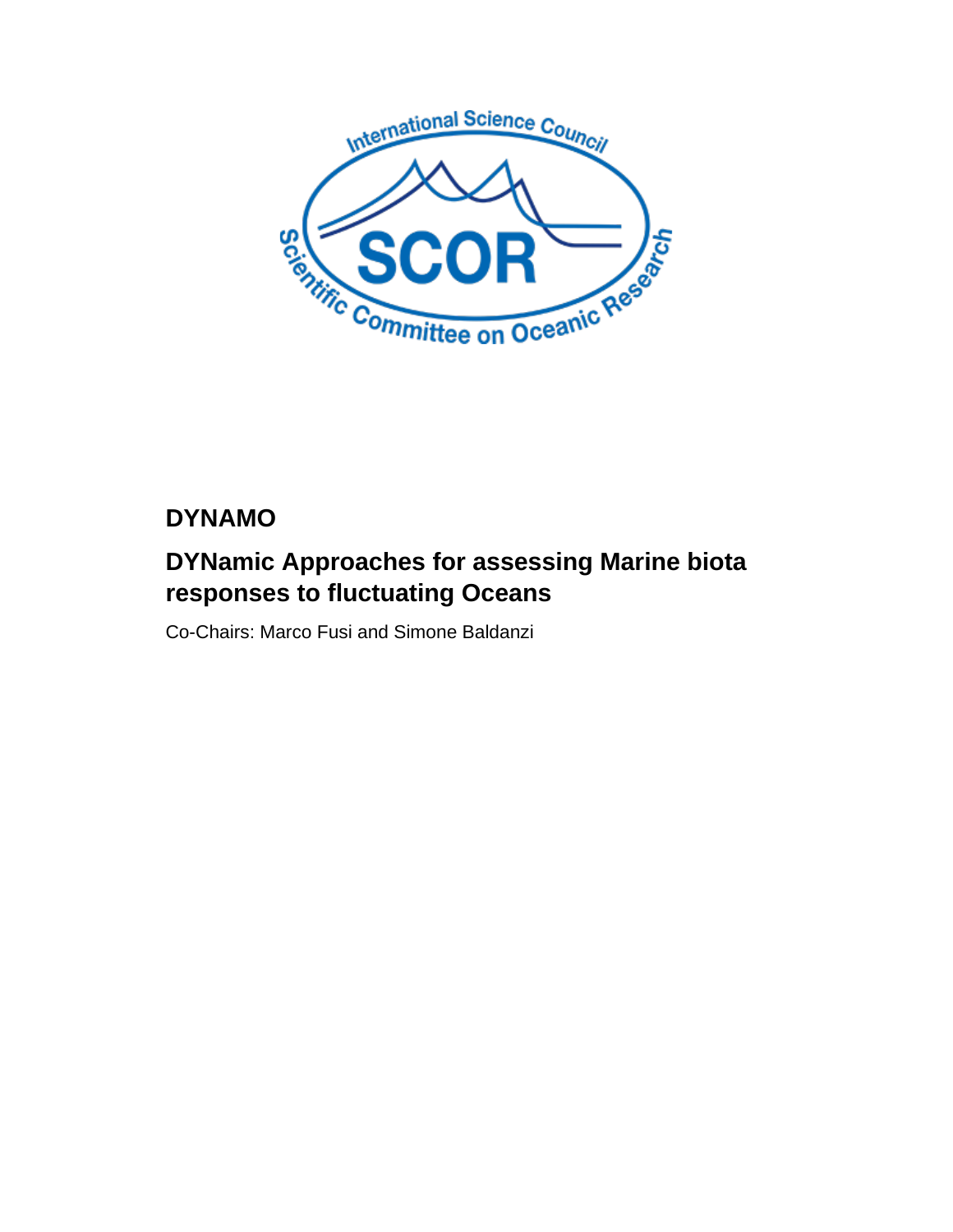

# **DYNAMO**

# **DYNamic Approaches for assessing Marine biota responses to fluctuating Oceans**

Co-Chairs: Marco Fusi and Simone Baldanzi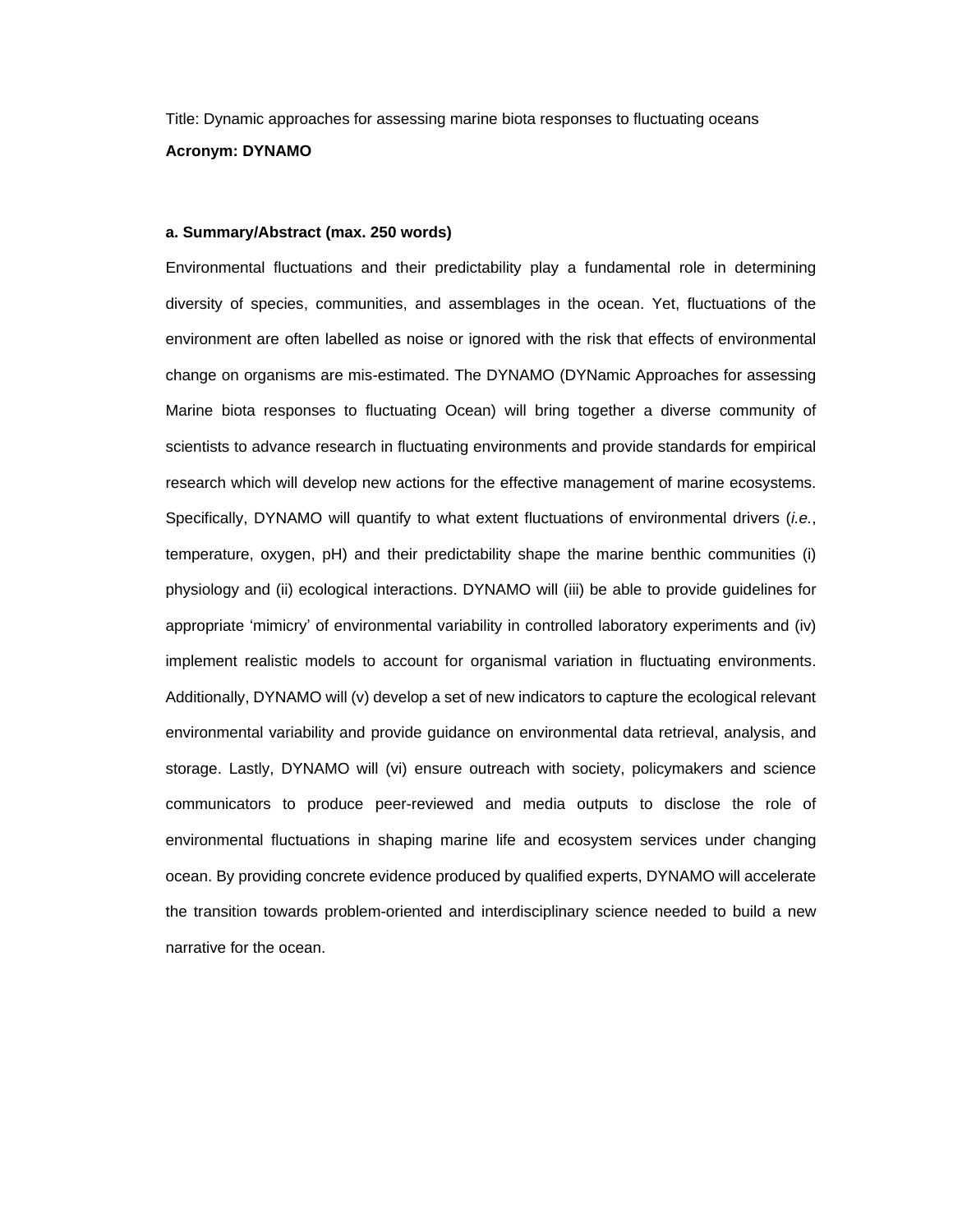Title: Dynamic approaches for assessing marine biota responses to fluctuating oceans **Acronym: DYNAMO**

#### **a. Summary/Abstract (max. 250 words)**

Environmental fluctuations and their predictability play a fundamental role in determining diversity of species, communities, and assemblages in the ocean. Yet, fluctuations of the environment are often labelled as noise or ignored with the risk that effects of environmental change on organisms are mis-estimated. The DYNAMO (DYNamic Approaches for assessing Marine biota responses to fluctuating Ocean) will bring together a diverse community of scientists to advance research in fluctuating environments and provide standards for empirical research which will develop new actions for the effective management of marine ecosystems. Specifically, DYNAMO will quantify to what extent fluctuations of environmental drivers (*i.e.*, temperature, oxygen, pH) and their predictability shape the marine benthic communities (i) physiology and (ii) ecological interactions. DYNAMO will (iii) be able to provide guidelines for appropriate 'mimicry' of environmental variability in controlled laboratory experiments and (iv) implement realistic models to account for organismal variation in fluctuating environments. Additionally, DYNAMO will (v) develop a set of new indicators to capture the ecological relevant environmental variability and provide guidance on environmental data retrieval, analysis, and storage. Lastly, DYNAMO will (vi) ensure outreach with society, policymakers and science communicators to produce peer-reviewed and media outputs to disclose the role of environmental fluctuations in shaping marine life and ecosystem services under changing ocean. By providing concrete evidence produced by qualified experts, DYNAMO will accelerate the transition towards problem-oriented and interdisciplinary science needed to build a new narrative for the ocean.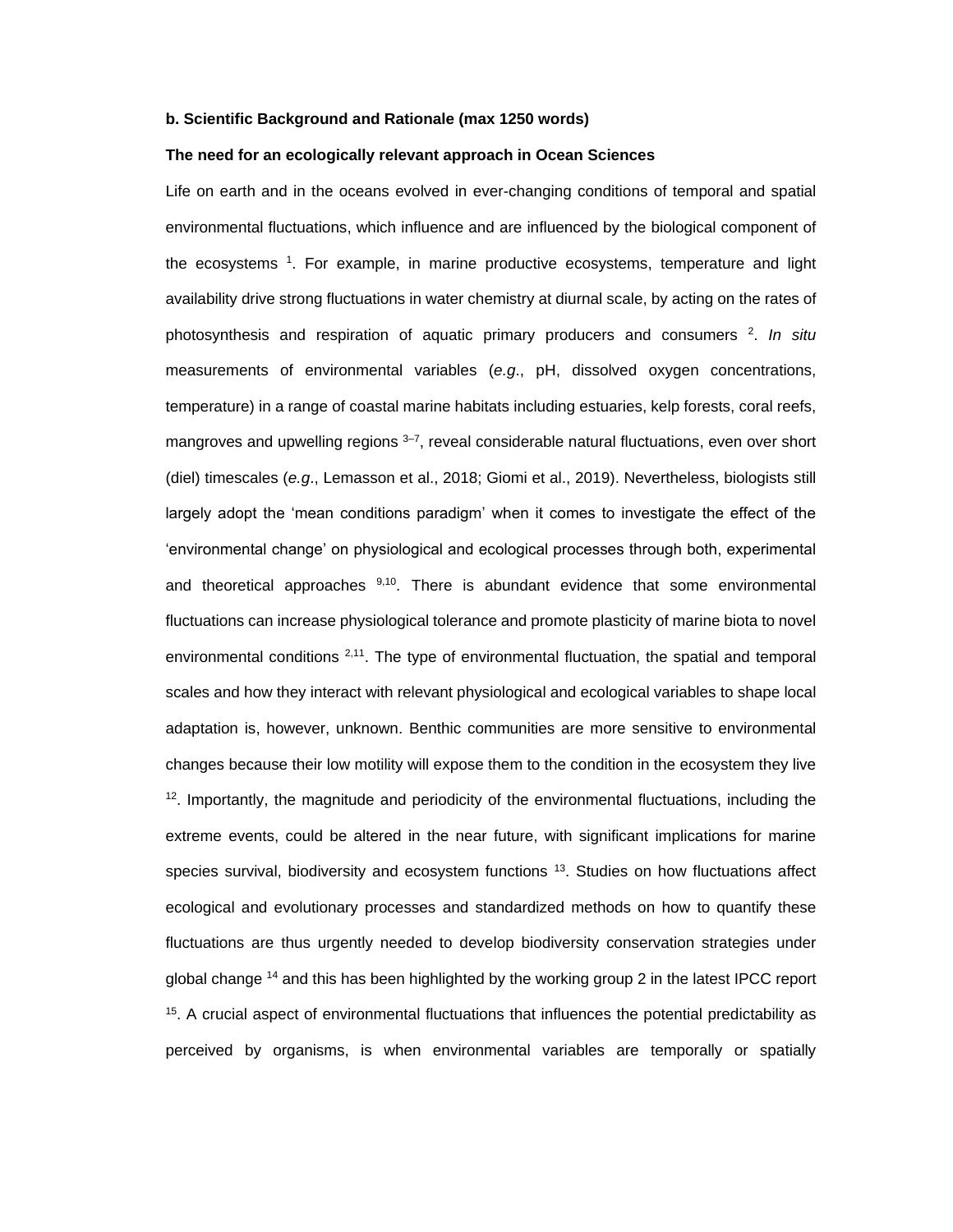#### **b. Scientific Background and Rationale (max 1250 words)**

#### **The need for an ecologically relevant approach in Ocean Sciences**

Life on earth and in the oceans evolved in ever-changing conditions of temporal and spatial environmental fluctuations, which influence and are influenced by the biological component of the ecosystems <sup>1</sup>. For example, in marine productive ecosystems, temperature and light availability drive strong fluctuations in water chemistry at diurnal scale, by acting on the rates of photosynthesis and respiration of aquatic primary producers and consumers <sup>2</sup> . *In situ* measurements of environmental variables (*e.g*., pH, dissolved oxygen concentrations, temperature) in a range of coastal marine habitats including estuaries, kelp forests, coral reefs, mangroves and upwelling regions <sup>3-7</sup>, reveal considerable natural fluctuations, even over short (diel) timescales (*e.g*., Lemasson et al., 2018; Giomi et al., 2019). Nevertheless, biologists still largely adopt the 'mean conditions paradigm' when it comes to investigate the effect of the 'environmental change' on physiological and ecological processes through both, experimental and theoretical approaches  $9,10$ . There is abundant evidence that some environmental fluctuations can increase physiological tolerance and promote plasticity of marine biota to novel environmental conditions <sup>2,11</sup>. The type of environmental fluctuation, the spatial and temporal scales and how they interact with relevant physiological and ecological variables to shape local adaptation is, however, unknown. Benthic communities are more sensitive to environmental changes because their low motility will expose them to the condition in the ecosystem they live  $12$ . Importantly, the magnitude and periodicity of the environmental fluctuations, including the extreme events, could be altered in the near future, with significant implications for marine species survival, biodiversity and ecosystem functions <sup>13</sup>. Studies on how fluctuations affect ecological and evolutionary processes and standardized methods on how to quantify these fluctuations are thus urgently needed to develop biodiversity conservation strategies under global change <sup>14</sup> and this has been highlighted by the working group 2 in the latest IPCC report <sup>15</sup>. A crucial aspect of environmental fluctuations that influences the potential predictability as perceived by organisms, is when environmental variables are temporally or spatially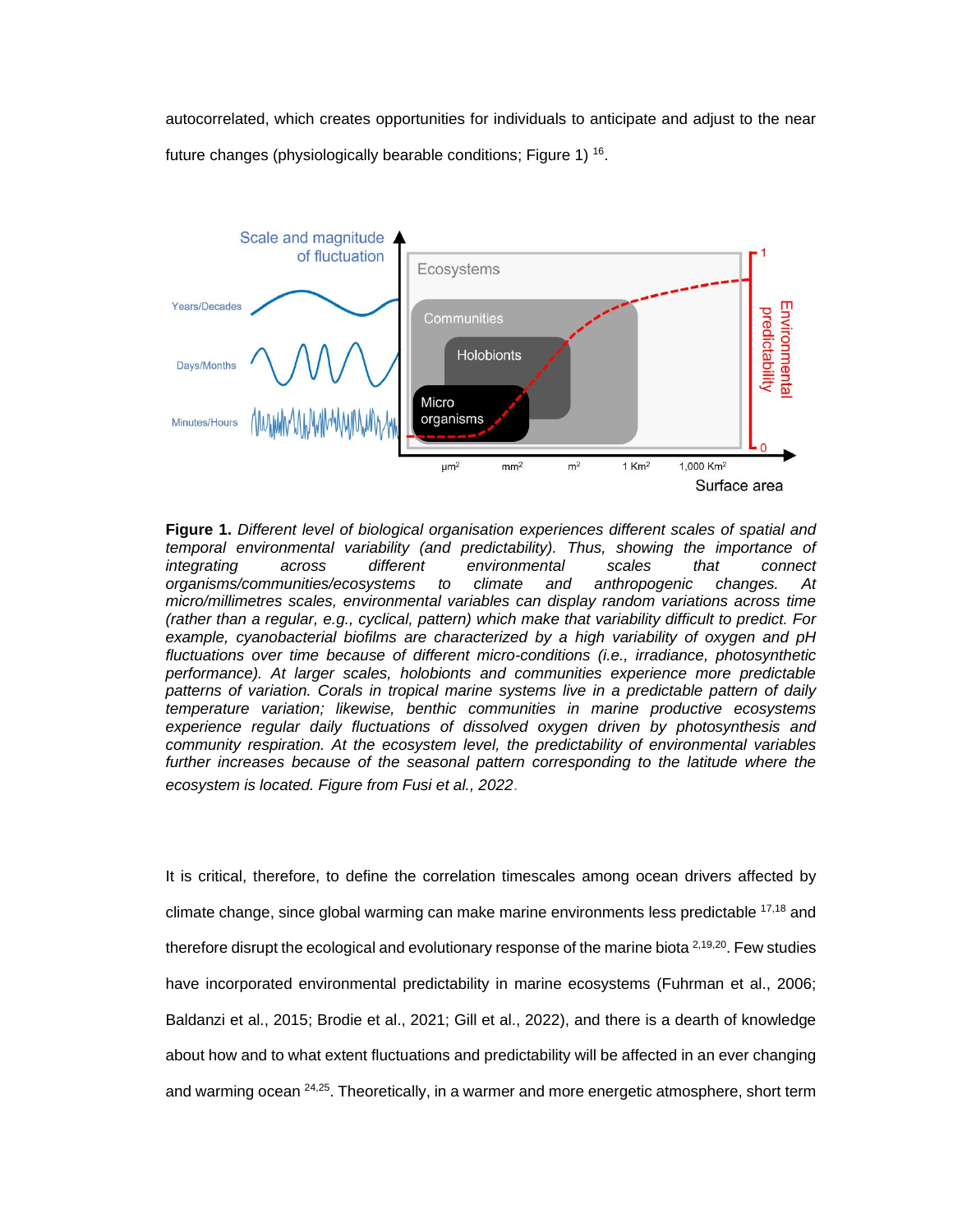autocorrelated, which creates opportunities for individuals to anticipate and adjust to the near future changes (physiologically bearable conditions; Figure 1) <sup>16</sup>.



**Figure 1.** *Different level of biological organisation experiences different scales of spatial and temporal environmental variability (and predictability). Thus, showing the importance of integrating across different environmental scales that connect organisms/communities/ecosystems to climate and anthropogenic changes. At micro/millimetres scales, environmental variables can display random variations across time (rather than a regular, e.g., cyclical, pattern) which make that variability difficult to predict. For example, cyanobacterial biofilms are characterized by a high variability of oxygen and pH fluctuations over time because of different micro-conditions (i.e., irradiance, photosynthetic performance). At larger scales, holobionts and communities experience more predictable patterns of variation. Corals in tropical marine systems live in a predictable pattern of daily temperature variation; likewise, benthic communities in marine productive ecosystems experience regular daily fluctuations of dissolved oxygen driven by photosynthesis and community respiration. At the ecosystem level, the predictability of environmental variables*  further increases because of the seasonal pattern corresponding to the latitude where the *ecosystem is located. Figure from Fusi et al., 2022*.

It is critical, therefore, to define the correlation timescales among ocean drivers affected by climate change, since global warming can make marine environments less predictable 17,18 and therefore disrupt the ecological and evolutionary response of the marine biota  $2,19,20$ . Few studies have incorporated environmental predictability in marine ecosystems (Fuhrman et al., 2006; Baldanzi et al., 2015; Brodie et al., 2021; Gill et al., 2022), and there is a dearth of knowledge about how and to what extent fluctuations and predictability will be affected in an ever changing and warming ocean <sup>24,25</sup>. Theoretically, in a warmer and more energetic atmosphere, short term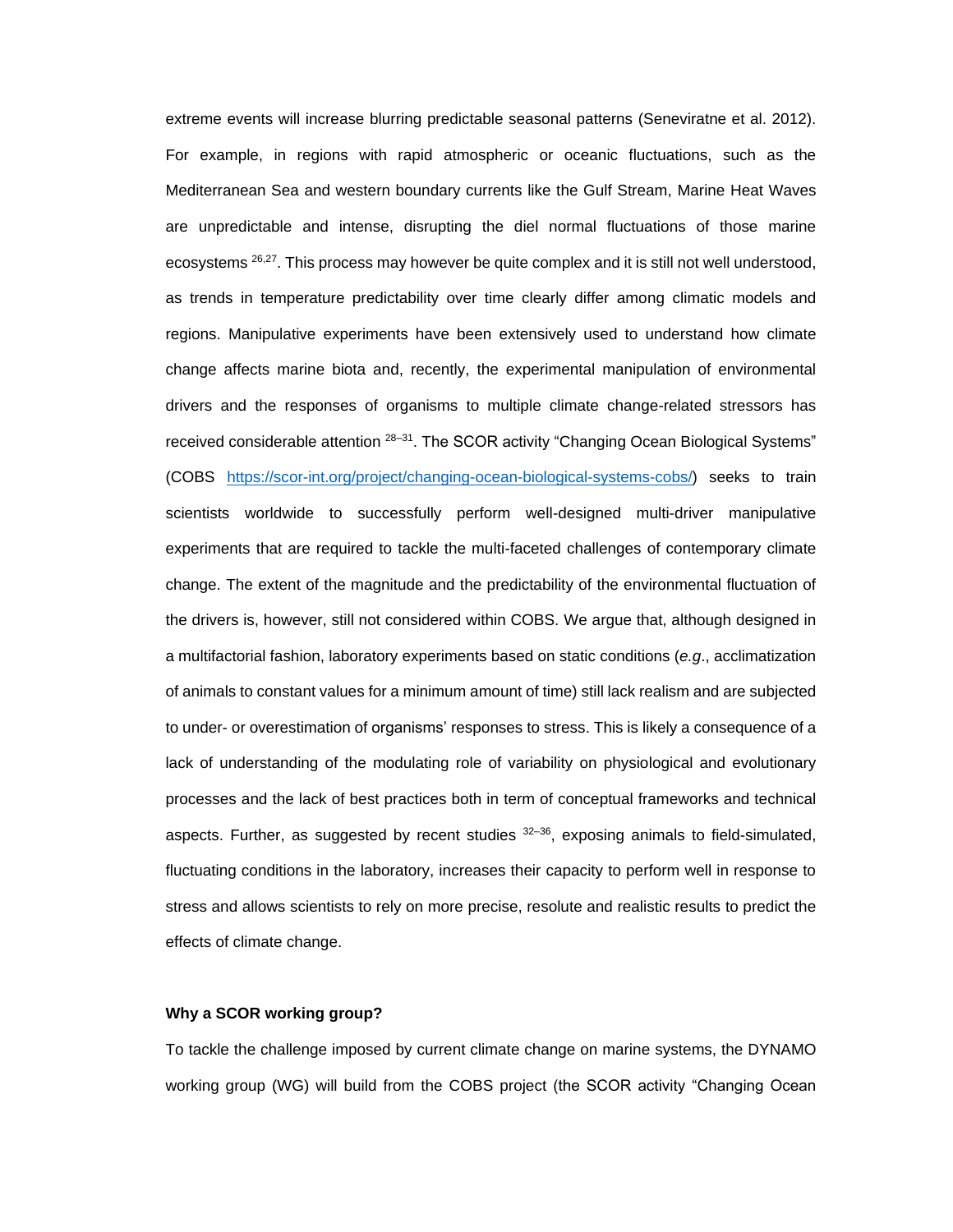extreme events will increase blurring predictable seasonal patterns (Seneviratne et al. 2012). For example, in regions with rapid atmospheric or oceanic fluctuations, such as the Mediterranean Sea and western boundary currents like the Gulf Stream, Marine Heat Waves are unpredictable and intense, disrupting the diel normal fluctuations of those marine ecosystems <sup>26,27</sup>. This process may however be quite complex and it is still not well understood, as trends in temperature predictability over time clearly differ among climatic models and regions. Manipulative experiments have been extensively used to understand how climate change affects marine biota and, recently, the experimental manipulation of environmental drivers and the responses of organisms to multiple climate change-related stressors has received considerable attention <sup>28-31</sup>. The SCOR activity "Changing Ocean Biological Systems" (COBS [https://scor-int.org/project/changing-ocean-biological-systems-cobs/\)](https://scor-int.org/project/changing-ocean-biological-systems-cobs/) seeks to train scientists worldwide to successfully perform well-designed multi-driver manipulative experiments that are required to tackle the multi-faceted challenges of contemporary climate change. The extent of the magnitude and the predictability of the environmental fluctuation of the drivers is, however, still not considered within COBS. We argue that, although designed in a multifactorial fashion, laboratory experiments based on static conditions (*e.g*., acclimatization of animals to constant values for a minimum amount of time) still lack realism and are subjected to under- or overestimation of organisms' responses to stress. This is likely a consequence of a lack of understanding of the modulating role of variability on physiological and evolutionary processes and the lack of best practices both in term of conceptual frameworks and technical aspects. Further, as suggested by recent studies  $32-36$ , exposing animals to field-simulated, fluctuating conditions in the laboratory, increases their capacity to perform well in response to stress and allows scientists to rely on more precise, resolute and realistic results to predict the effects of climate change.

#### **Why a SCOR working group?**

To tackle the challenge imposed by current climate change on marine systems, the DYNAMO working group (WG) will build from the COBS project (the SCOR activity "Changing Ocean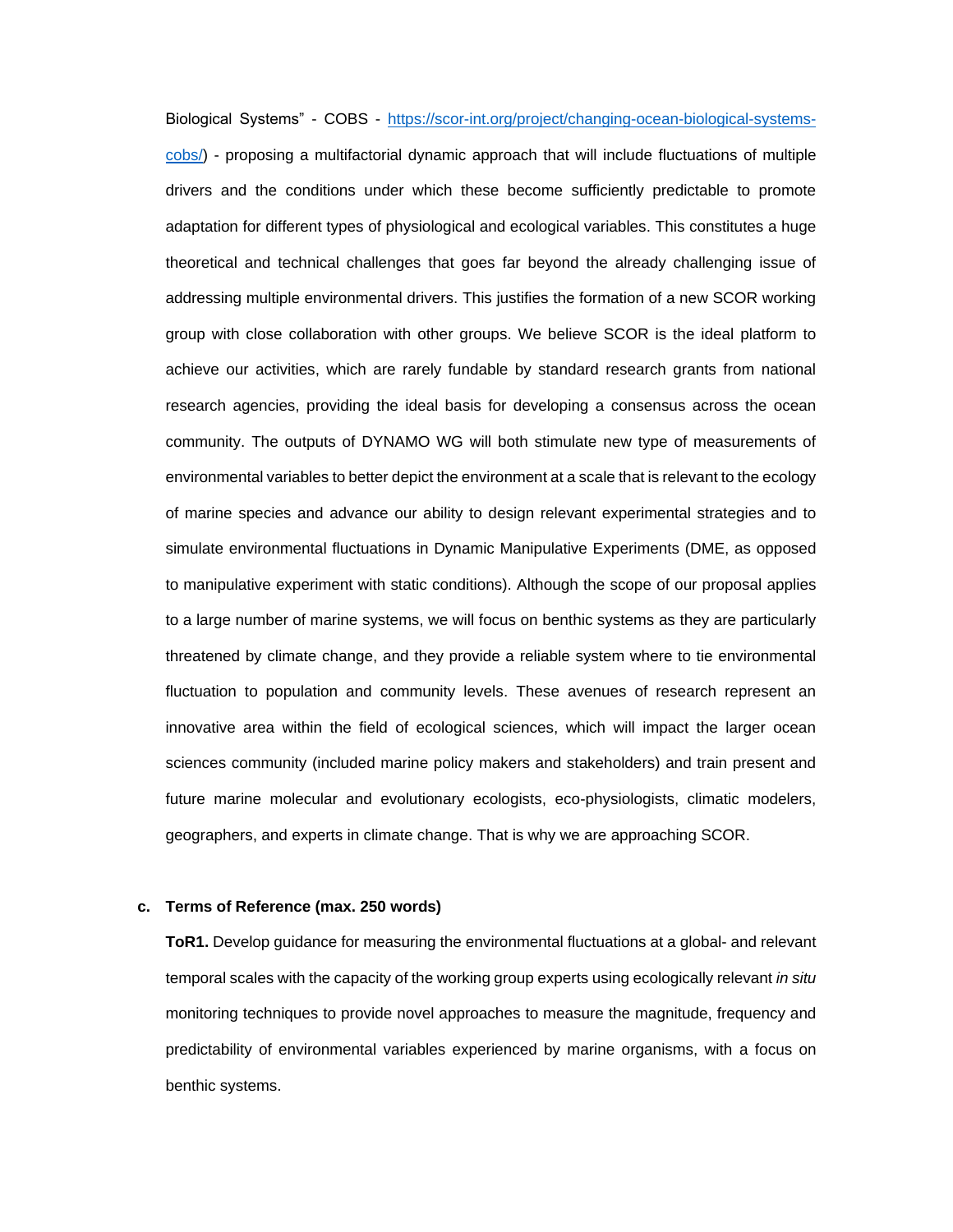Biological Systems" - COBS - [https://scor-int.org/project/changing-ocean-biological-systems](https://scor-int.org/project/changing-ocean-biological-systems-cobs/)[cobs/\)](https://scor-int.org/project/changing-ocean-biological-systems-cobs/) - proposing a multifactorial dynamic approach that will include fluctuations of multiple drivers and the conditions under which these become sufficiently predictable to promote adaptation for different types of physiological and ecological variables. This constitutes a huge theoretical and technical challenges that goes far beyond the already challenging issue of addressing multiple environmental drivers. This justifies the formation of a new SCOR working group with close collaboration with other groups. We believe SCOR is the ideal platform to achieve our activities, which are rarely fundable by standard research grants from national research agencies, providing the ideal basis for developing a consensus across the ocean community. The outputs of DYNAMO WG will both stimulate new type of measurements of environmental variables to better depict the environment at a scale that is relevant to the ecology of marine species and advance our ability to design relevant experimental strategies and to simulate environmental fluctuations in Dynamic Manipulative Experiments (DME, as opposed to manipulative experiment with static conditions). Although the scope of our proposal applies to a large number of marine systems, we will focus on benthic systems as they are particularly threatened by climate change, and they provide a reliable system where to tie environmental fluctuation to population and community levels. These avenues of research represent an innovative area within the field of ecological sciences, which will impact the larger ocean sciences community (included marine policy makers and stakeholders) and train present and future marine molecular and evolutionary ecologists, eco-physiologists, climatic modelers, geographers, and experts in climate change. That is why we are approaching SCOR.

#### **c. Terms of Reference (max. 250 words)**

**ToR1.** Develop guidance for measuring the environmental fluctuations at a global- and relevant temporal scales with the capacity of the working group experts using ecologically relevant *in situ* monitoring techniques to provide novel approaches to measure the magnitude, frequency and predictability of environmental variables experienced by marine organisms, with a focus on benthic systems.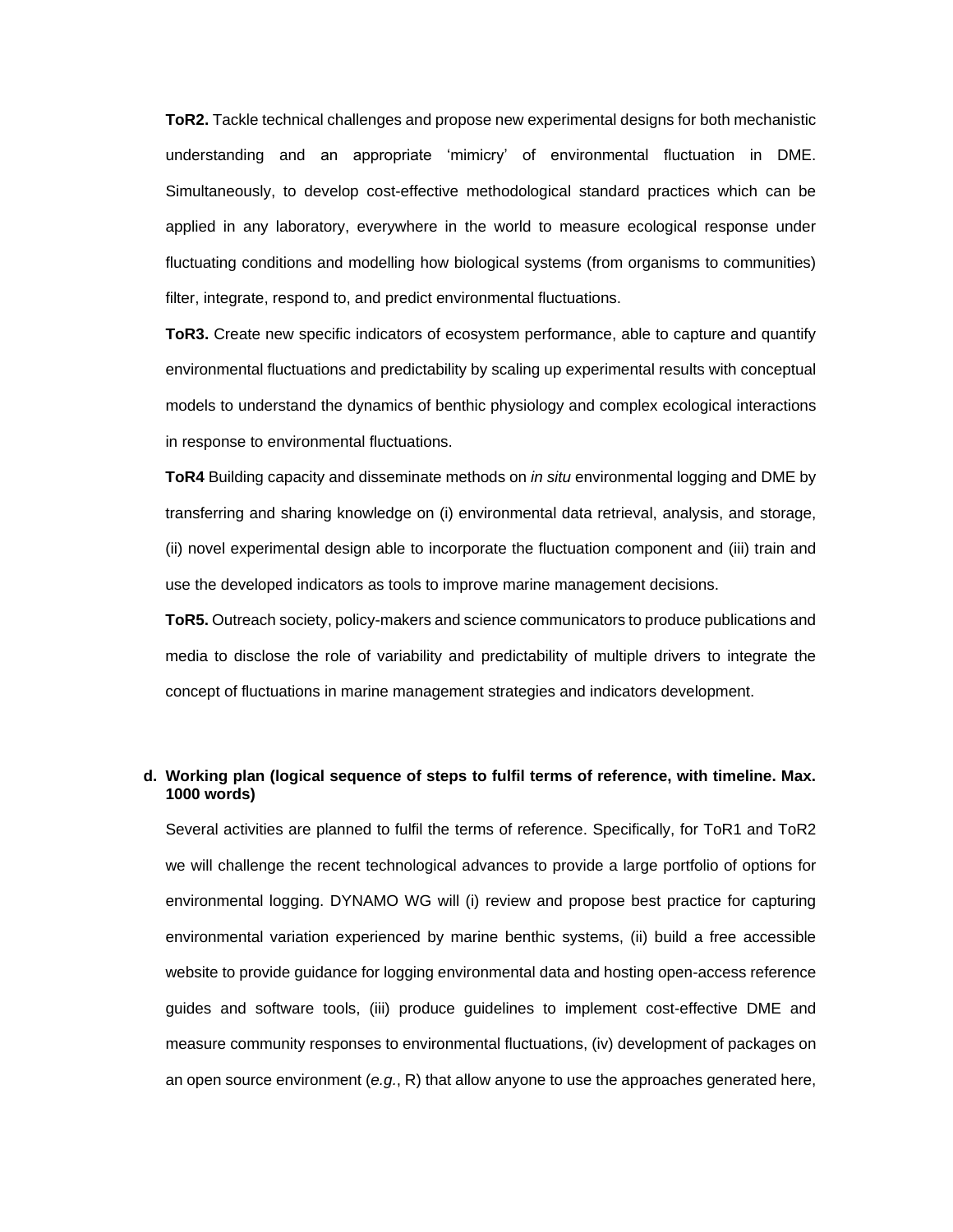**ToR2.** Tackle technical challenges and propose new experimental designs for both mechanistic understanding and an appropriate 'mimicry' of environmental fluctuation in DME. Simultaneously, to develop cost-effective methodological standard practices which can be applied in any laboratory, everywhere in the world to measure ecological response under fluctuating conditions and modelling how biological systems (from organisms to communities) filter, integrate, respond to, and predict environmental fluctuations.

**ToR3.** Create new specific indicators of ecosystem performance, able to capture and quantify environmental fluctuations and predictability by scaling up experimental results with conceptual models to understand the dynamics of benthic physiology and complex ecological interactions in response to environmental fluctuations.

**ToR4** Building capacity and disseminate methods on *in situ* environmental logging and DME by transferring and sharing knowledge on (i) environmental data retrieval, analysis, and storage, (ii) novel experimental design able to incorporate the fluctuation component and (iii) train and use the developed indicators as tools to improve marine management decisions.

**ToR5.** Outreach society, policy-makers and science communicators to produce publications and media to disclose the role of variability and predictability of multiple drivers to integrate the concept of fluctuations in marine management strategies and indicators development.

#### **d. Working plan (logical sequence of steps to fulfil terms of reference, with timeline. Max. 1000 words)**

Several activities are planned to fulfil the terms of reference. Specifically, for ToR1 and ToR2 we will challenge the recent technological advances to provide a large portfolio of options for environmental logging. DYNAMO WG will (i) review and propose best practice for capturing environmental variation experienced by marine benthic systems, (ii) build a free accessible website to provide guidance for logging environmental data and hosting open-access reference guides and software tools, (iii) produce guidelines to implement cost-effective DME and measure community responses to environmental fluctuations, (iv) development of packages on an open source environment (*e.g.*, R) that allow anyone to use the approaches generated here,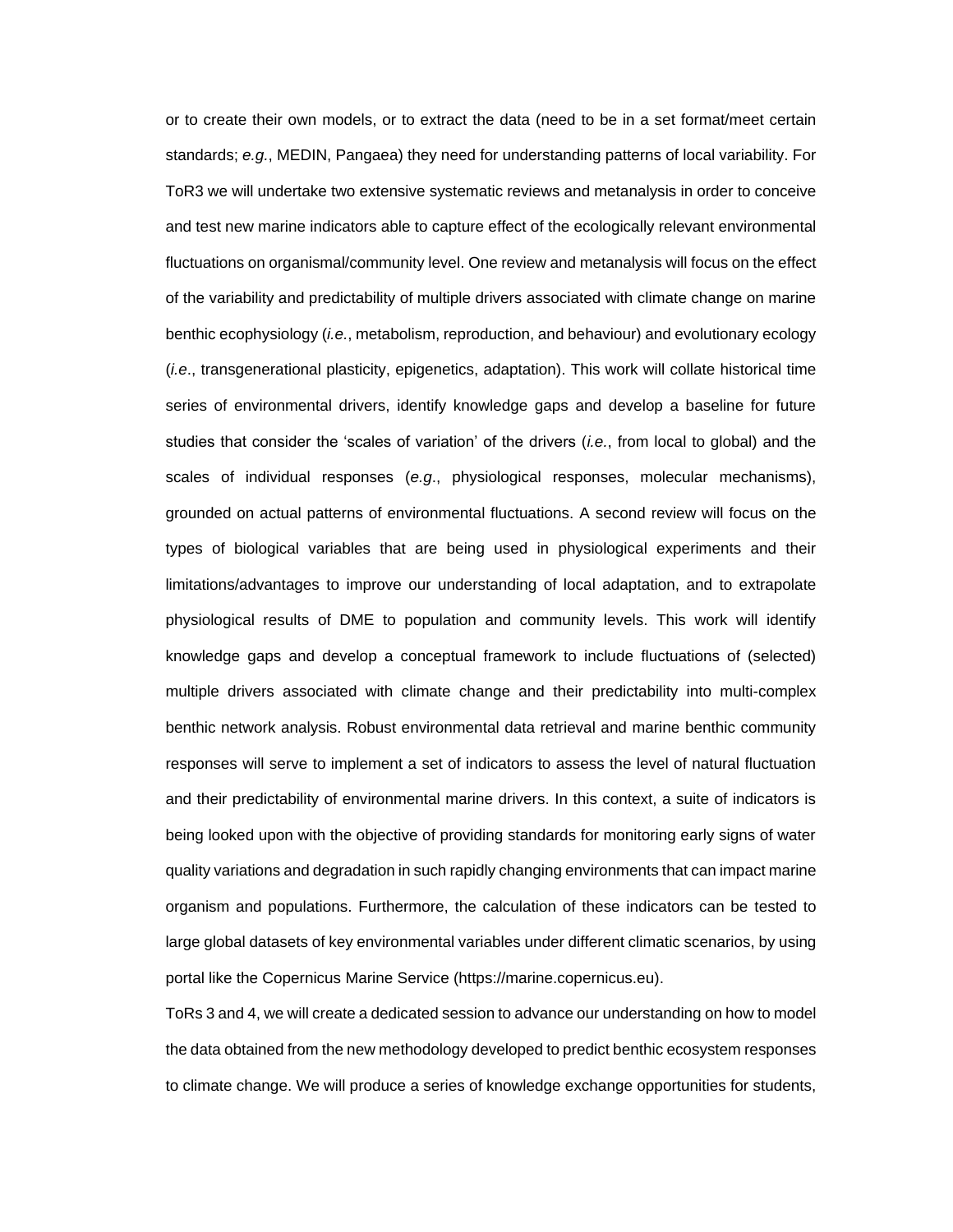or to create their own models, or to extract the data (need to be in a set format/meet certain standards; *e.g.*, MEDIN, Pangaea) they need for understanding patterns of local variability. For ToR3 we will undertake two extensive systematic reviews and metanalysis in order to conceive and test new marine indicators able to capture effect of the ecologically relevant environmental fluctuations on organismal/community level. One review and metanalysis will focus on the effect of the variability and predictability of multiple drivers associated with climate change on marine benthic ecophysiology (*i.e.*, metabolism, reproduction, and behaviour) and evolutionary ecology (*i.e*., transgenerational plasticity, epigenetics, adaptation). This work will collate historical time series of environmental drivers, identify knowledge gaps and develop a baseline for future studies that consider the 'scales of variation' of the drivers (*i.e.*, from local to global) and the scales of individual responses (*e.g*., physiological responses, molecular mechanisms), grounded on actual patterns of environmental fluctuations. A second review will focus on the types of biological variables that are being used in physiological experiments and their limitations/advantages to improve our understanding of local adaptation, and to extrapolate physiological results of DME to population and community levels. This work will identify knowledge gaps and develop a conceptual framework to include fluctuations of (selected) multiple drivers associated with climate change and their predictability into multi-complex benthic network analysis. Robust environmental data retrieval and marine benthic community responses will serve to implement a set of indicators to assess the level of natural fluctuation and their predictability of environmental marine drivers. In this context, a suite of indicators is being looked upon with the objective of providing standards for monitoring early signs of water quality variations and degradation in such rapidly changing environments that can impact marine organism and populations. Furthermore, the calculation of these indicators can be tested to large global datasets of key environmental variables under different climatic scenarios, by using portal like the Copernicus Marine Service (https://marine.copernicus.eu).

ToRs 3 and 4, we will create a dedicated session to advance our understanding on how to model the data obtained from the new methodology developed to predict benthic ecosystem responses to climate change. We will produce a series of knowledge exchange opportunities for students,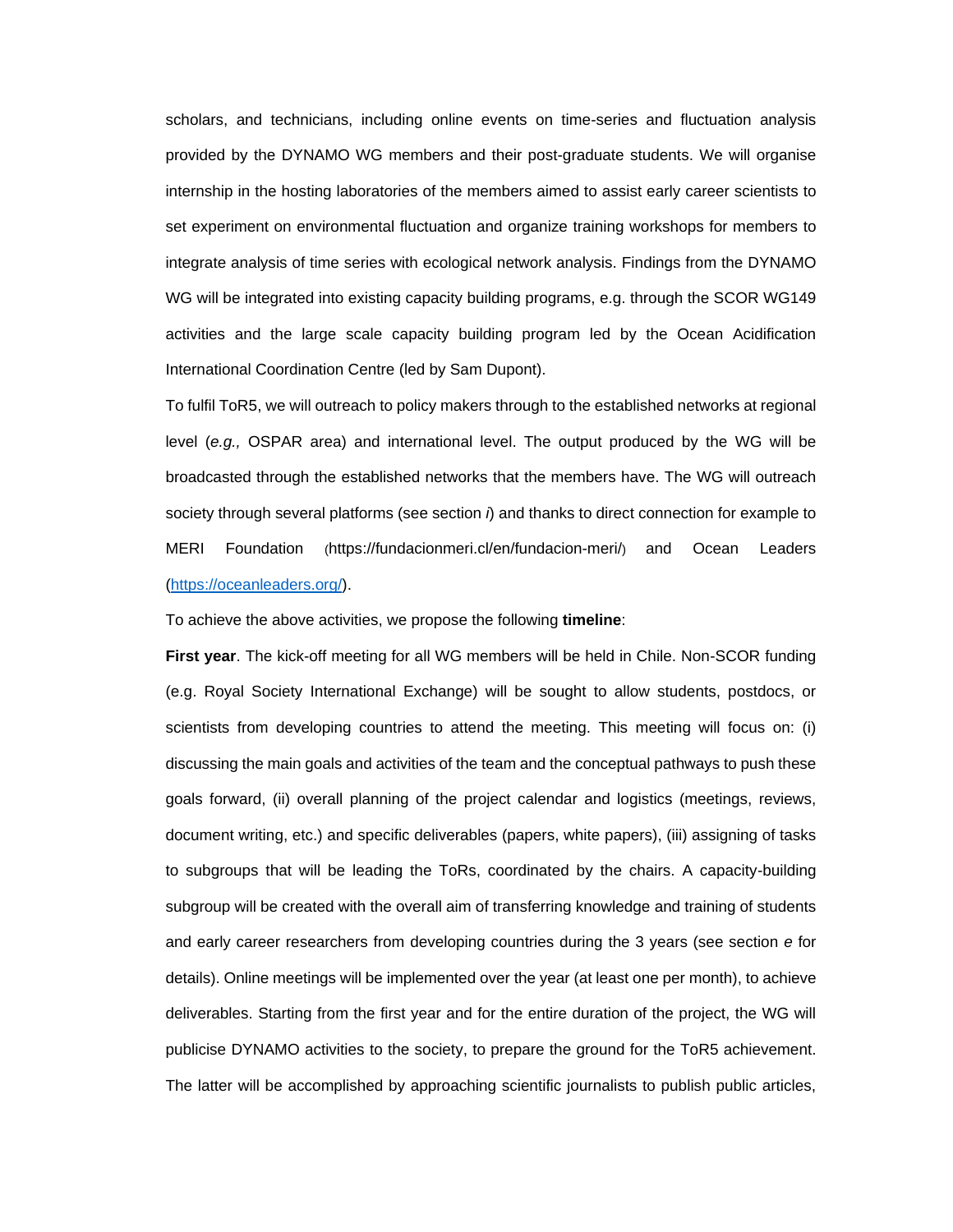scholars, and technicians, including online events on time-series and fluctuation analysis provided by the DYNAMO WG members and their post-graduate students. We will organise internship in the hosting laboratories of the members aimed to assist early career scientists to set experiment on environmental fluctuation and organize training workshops for members to integrate analysis of time series with ecological network analysis. Findings from the DYNAMO WG will be integrated into existing capacity building programs, e.g. through the SCOR WG149 activities and the large scale capacity building program led by the Ocean Acidification International Coordination Centre (led by Sam Dupont).

To fulfil ToR5, we will outreach to policy makers through to the established networks at regional level (*e.g.,* OSPAR area) and international level. The output produced by the WG will be broadcasted through the established networks that the members have. The WG will outreach society through several platforms (see section *i*) and thanks to direct connection for example to MERI Foundation (https://fundacionmeri.cl/en/fundacion-meri/) and Ocean Leaders [\(https://oceanleaders.org/\)](https://oceanleaders.org/).

To achieve the above activities, we propose the following **timeline**:

**First year**. The kick-off meeting for all WG members will be held in Chile. Non-SCOR funding (e.g. Royal Society International Exchange) will be sought to allow students, postdocs, or scientists from developing countries to attend the meeting. This meeting will focus on: (i) discussing the main goals and activities of the team and the conceptual pathways to push these goals forward, (ii) overall planning of the project calendar and logistics (meetings, reviews, document writing, etc.) and specific deliverables (papers, white papers), (iii) assigning of tasks to subgroups that will be leading the ToRs, coordinated by the chairs. A capacity-building subgroup will be created with the overall aim of transferring knowledge and training of students and early career researchers from developing countries during the 3 years (see section *e* for details). Online meetings will be implemented over the year (at least one per month), to achieve deliverables. Starting from the first year and for the entire duration of the project, the WG will publicise DYNAMO activities to the society, to prepare the ground for the ToR5 achievement. The latter will be accomplished by approaching scientific journalists to publish public articles,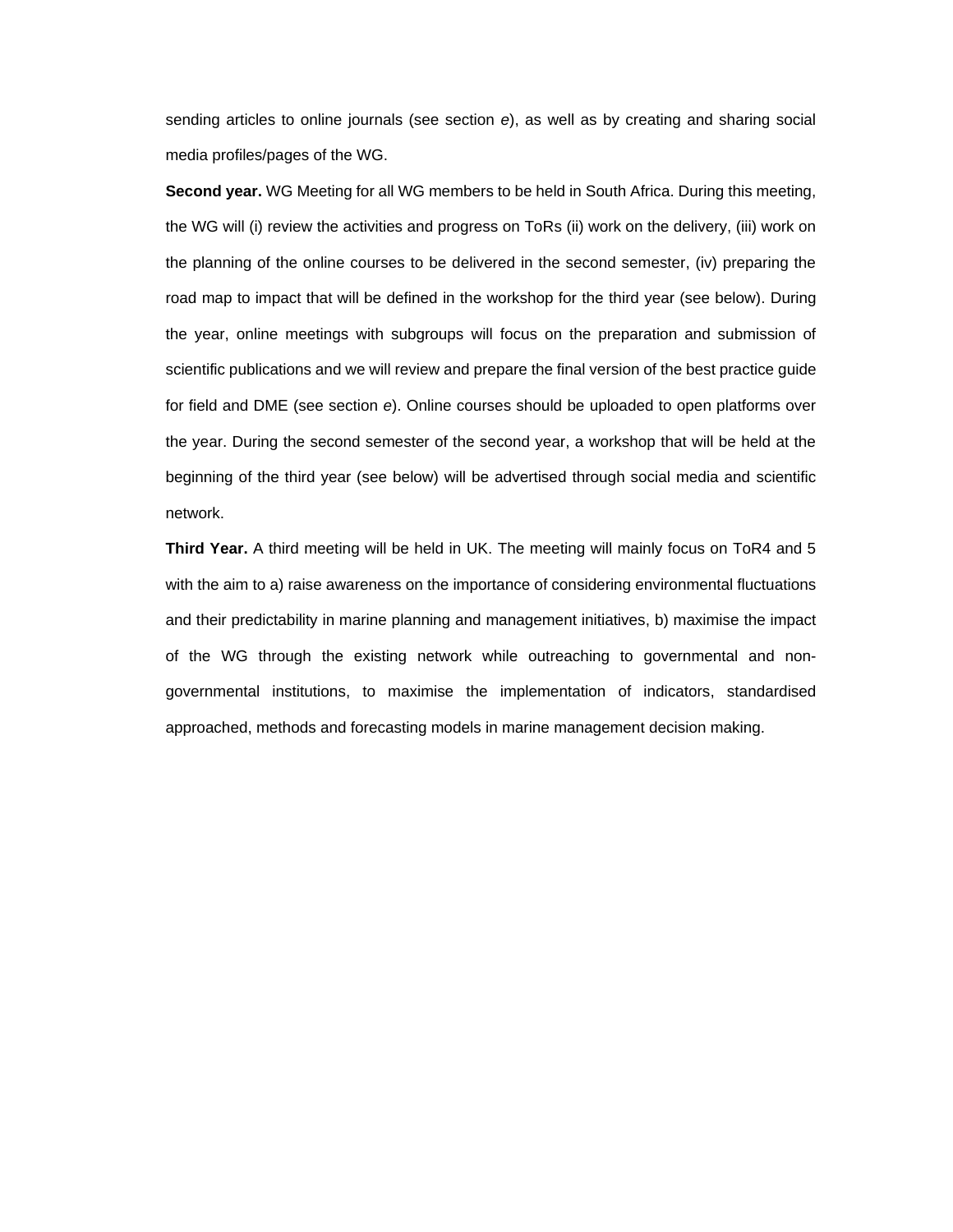sending articles to online journals (see section *e*), as well as by creating and sharing social media profiles/pages of the WG.

**Second year.** WG Meeting for all WG members to be held in South Africa. During this meeting, the WG will (i) review the activities and progress on ToRs (ii) work on the delivery, (iii) work on the planning of the online courses to be delivered in the second semester, (iv) preparing the road map to impact that will be defined in the workshop for the third year (see below). During the year, online meetings with subgroups will focus on the preparation and submission of scientific publications and we will review and prepare the final version of the best practice guide for field and DME (see section *e*). Online courses should be uploaded to open platforms over the year. During the second semester of the second year, a workshop that will be held at the beginning of the third year (see below) will be advertised through social media and scientific network.

**Third Year.** A third meeting will be held in UK. The meeting will mainly focus on ToR4 and 5 with the aim to a) raise awareness on the importance of considering environmental fluctuations and their predictability in marine planning and management initiatives, b) maximise the impact of the WG through the existing network while outreaching to governmental and nongovernmental institutions, to maximise the implementation of indicators, standardised approached, methods and forecasting models in marine management decision making.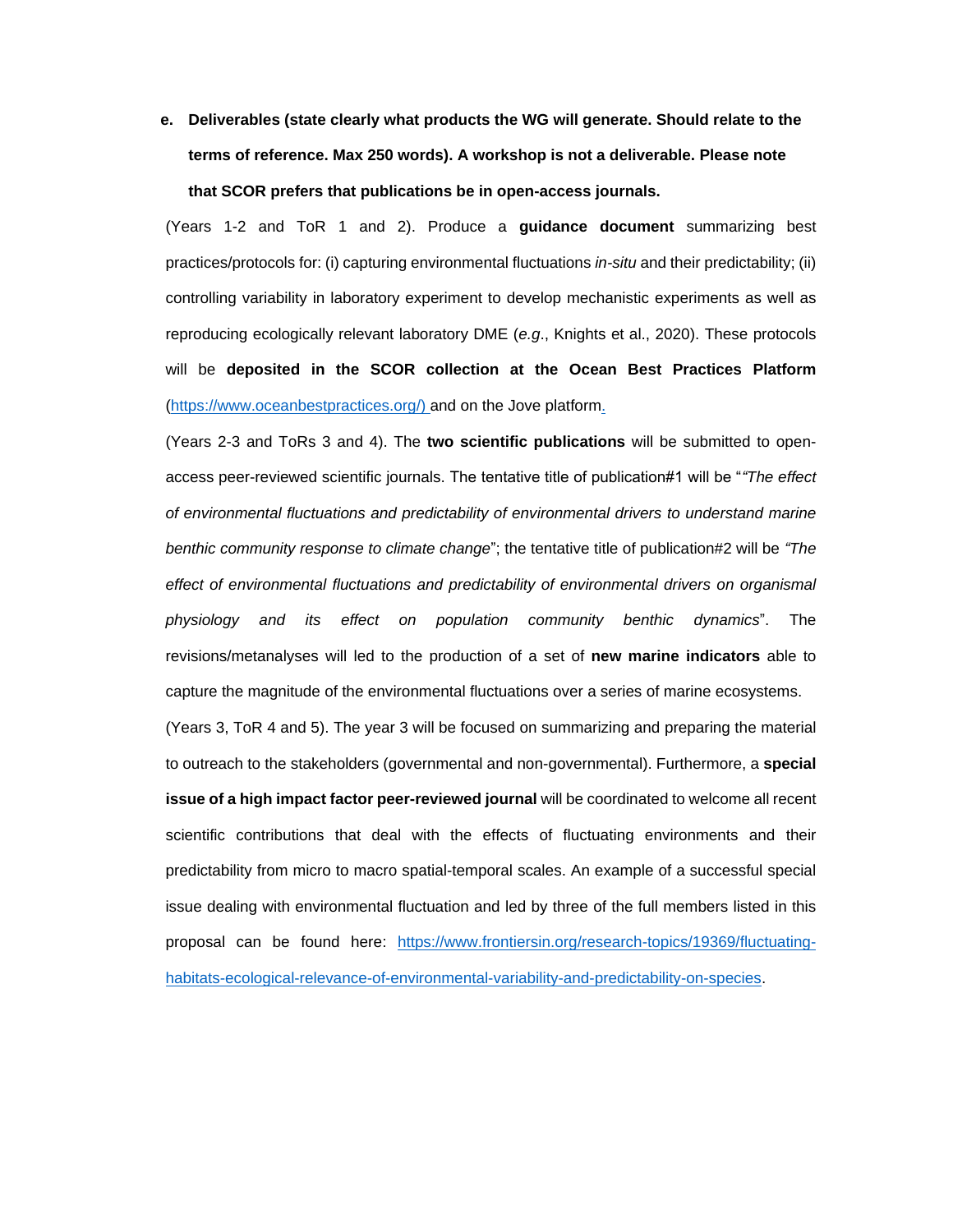**e. Deliverables (state clearly what products the WG will generate. Should relate to the terms of reference. Max 250 words). A workshop is not a deliverable. Please note that SCOR prefers that publications be in open-access journals.**

(Years 1-2 and ToR 1 and 2). Produce a **guidance document** summarizing best practices/protocols for: (i) capturing environmental fluctuations *in-situ* and their predictability; (ii) controlling variability in laboratory experiment to develop mechanistic experiments as well as reproducing ecologically relevant laboratory DME (*e.g*., Knights et al., 2020). These protocols will be **deposited in the SCOR collection at the Ocean Best Practices Platform** [\(https://www.oceanbestpractices.org/\)](https://www.oceanbestpractices.org/) and on the Jove platform.

(Years 2-3 and ToRs 3 and 4). The **two scientific publications** will be submitted to openaccess peer-reviewed scientific journals. The tentative title of publication#1 will be "*"The effect of environmental fluctuations and predictability of environmental drivers to understand marine benthic community response to climate change*"; the tentative title of publication#2 will be *"The effect of environmental fluctuations and predictability of environmental drivers on organismal physiology and its effect on population community benthic dynamics*". The revisions/metanalyses will led to the production of a set of **new marine indicators** able to capture the magnitude of the environmental fluctuations over a series of marine ecosystems.

(Years 3, ToR 4 and 5). The year 3 will be focused on summarizing and preparing the material to outreach to the stakeholders (governmental and non-governmental). Furthermore, a **special issue of a high impact factor peer-reviewed journal** will be coordinated to welcome all recent scientific contributions that deal with the effects of fluctuating environments and their predictability from micro to macro spatial-temporal scales. An example of a successful special issue dealing with environmental fluctuation and led by three of the full members listed in this proposal can be found here: [https://www.frontiersin.org/research-topics/19369/fluctuating](https://www.frontiersin.org/research-topics/19369/fluctuating-habitats-ecological-relevance-of-environmental-variability-and-predictability-on-species)[habitats-ecological-relevance-of-environmental-variability-and-predictability-on-species.](https://www.frontiersin.org/research-topics/19369/fluctuating-habitats-ecological-relevance-of-environmental-variability-and-predictability-on-species)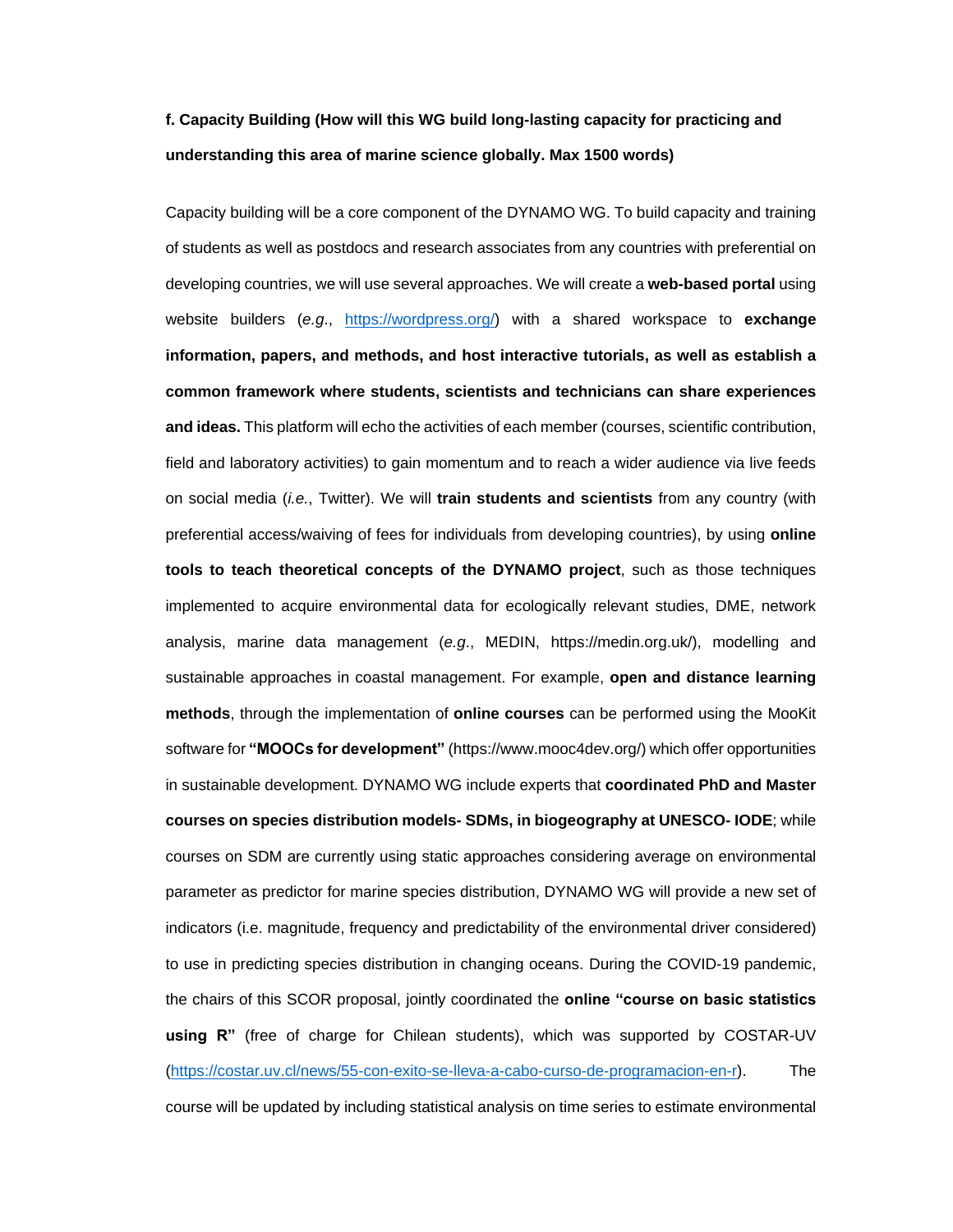## **f. Capacity Building (How will this WG build long-lasting capacity for practicing and understanding this area of marine science globally. Max 1500 words)**

Capacity building will be a core component of the DYNAMO WG. To build capacity and training of students as well as postdocs and research associates from any countries with preferential on developing countries, we will use several approaches. We will create a **web-based portal** using website builders (*e.g*., [https://wordpress.org/\)](https://wordpress.org/) with a shared workspace to **exchange information, papers, and methods, and host interactive tutorials, as well as establish a common framework where students, scientists and technicians can share experiences and ideas.** This platform will echo the activities of each member (courses, scientific contribution, field and laboratory activities) to gain momentum and to reach a wider audience via live feeds on social media (*i.e.*, Twitter). We will **train students and scientists** from any country (with preferential access/waiving of fees for individuals from developing countries), by using **online tools to teach theoretical concepts of the DYNAMO project**, such as those techniques implemented to acquire environmental data for ecologically relevant studies, DME, network analysis, marine data management (*e.g*., MEDIN, https://medin.org.uk/), modelling and sustainable approaches in coastal management. For example, **open and distance learning methods**, through the implementation of **online courses** can be performed using the MooKit software for **"MOOCs for development"** (https://www.mooc4dev.org/) which offer opportunities in sustainable development. DYNAMO WG include experts that **coordinated PhD and Master courses on species distribution models- SDMs, in biogeography at UNESCO- IODE**; while courses on SDM are currently using static approaches considering average on environmental parameter as predictor for marine species distribution, DYNAMO WG will provide a new set of indicators (i.e. magnitude, frequency and predictability of the environmental driver considered) to use in predicting species distribution in changing oceans. During the COVID-19 pandemic, the chairs of this SCOR proposal, jointly coordinated the **online "course on basic statistics using R"** (free of charge for Chilean students), which was supported by COSTAR-UV [\(https://costar.uv.cl/news/55-con-exito-se-lleva-a-cabo-curso-de-programacion-en-r\)](https://costar.uv.cl/news/55-con-exito-se-lleva-a-cabo-curso-de-programacion-en-r). The course will be updated by including statistical analysis on time series to estimate environmental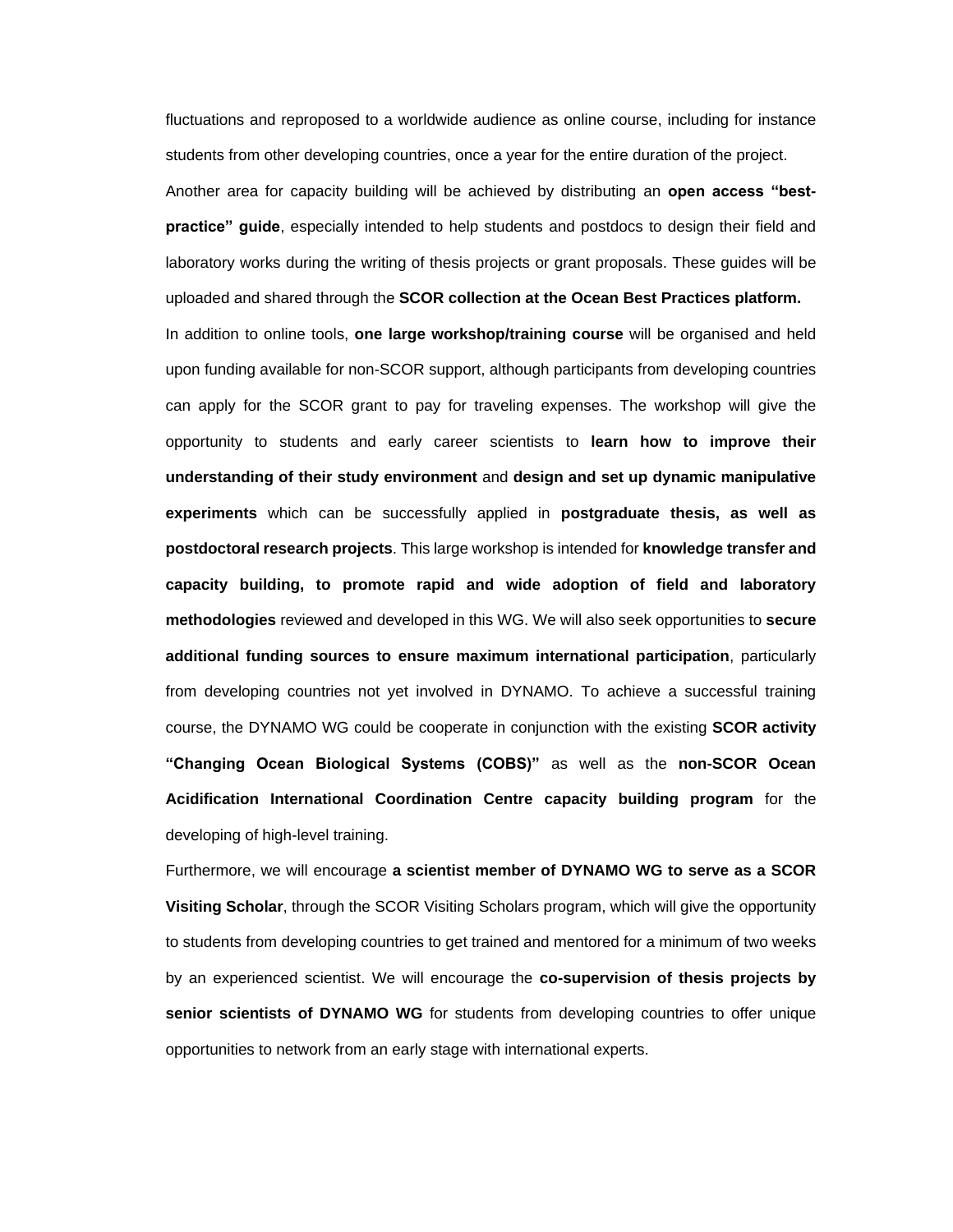fluctuations and reproposed to a worldwide audience as online course, including for instance students from other developing countries, once a year for the entire duration of the project. Another area for capacity building will be achieved by distributing an **open access "bestpractice" guide**, especially intended to help students and postdocs to design their field and laboratory works during the writing of thesis projects or grant proposals. These guides will be uploaded and shared through the **SCOR collection at the Ocean Best Practices platform.** In addition to online tools, **one large workshop/training course** will be organised and held upon funding available for non-SCOR support, although participants from developing countries can apply for the SCOR grant to pay for traveling expenses. The workshop will give the opportunity to students and early career scientists to **learn how to improve their understanding of their study environment** and **design and set up dynamic manipulative experiments** which can be successfully applied in **postgraduate thesis, as well as postdoctoral research projects**. This large workshop is intended for **knowledge transfer and capacity building, to promote rapid and wide adoption of field and laboratory methodologies** reviewed and developed in this WG. We will also seek opportunities to **secure additional funding sources to ensure maximum international participation**, particularly from developing countries not yet involved in DYNAMO. To achieve a successful training course, the DYNAMO WG could be cooperate in conjunction with the existing **SCOR activity "Changing Ocean Biological Systems (COBS)"** as well as the **non-SCOR Ocean Acidification International Coordination Centre capacity building program** for the developing of high-level training.

Furthermore, we will encourage **a scientist member of DYNAMO WG to serve as a SCOR Visiting Scholar**, through the SCOR Visiting Scholars program, which will give the opportunity to students from developing countries to get trained and mentored for a minimum of two weeks by an experienced scientist. We will encourage the **co-supervision of thesis projects by senior scientists of DYNAMO WG** for students from developing countries to offer unique opportunities to network from an early stage with international experts.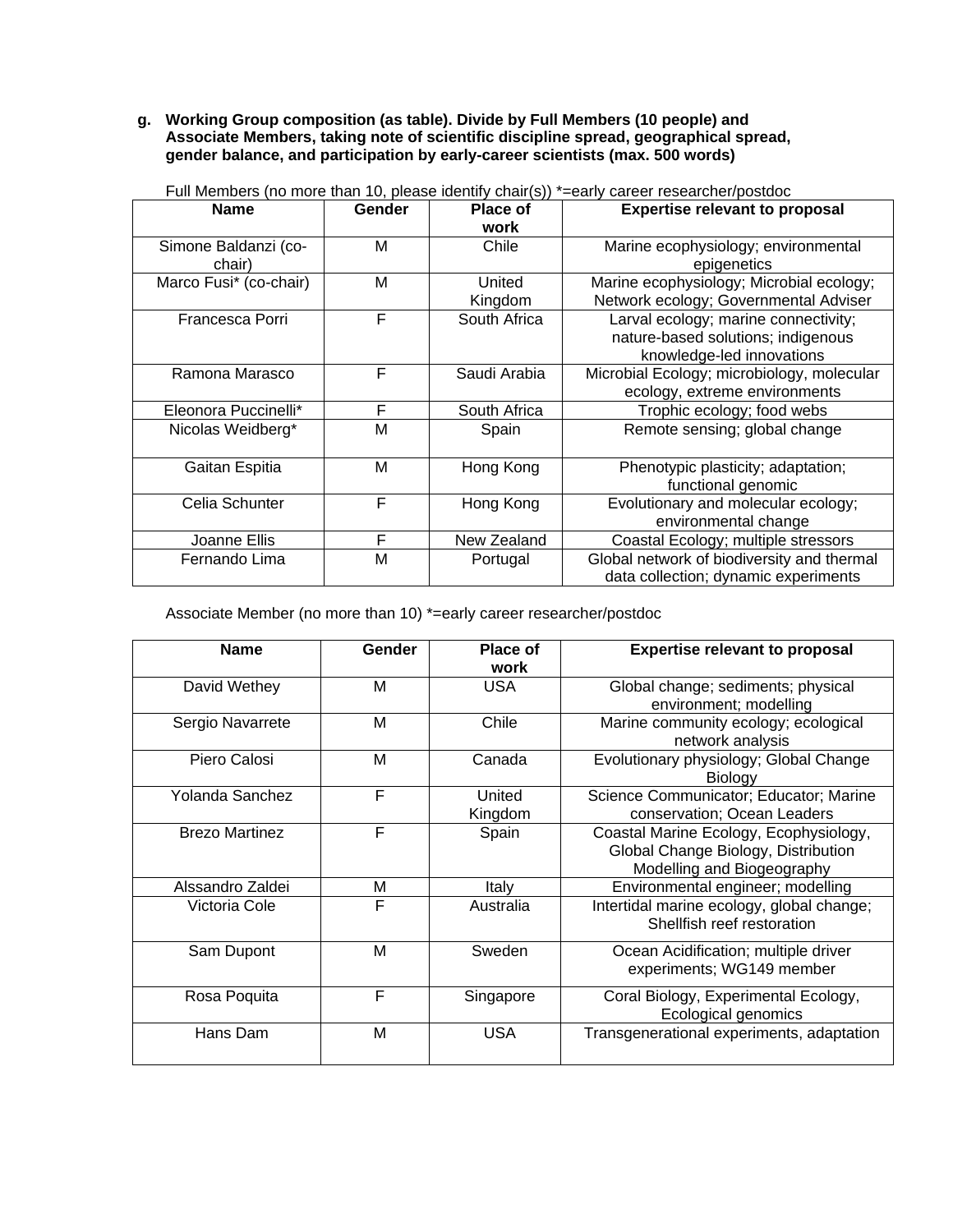## **g. Working Group composition (as table). Divide by Full Members (10 people) and Associate Members, taking note of scientific discipline spread, geographical spread, gender balance, and participation by early-career scientists (max. 500 words)**

| <b>Name</b>                    | Gender | <b>Place of</b><br>work | <b>Expertise relevant to proposal</b>                                                                   |
|--------------------------------|--------|-------------------------|---------------------------------------------------------------------------------------------------------|
| Simone Baldanzi (co-<br>chair) | м      | Chile                   | Marine ecophysiology; environmental<br>epigenetics                                                      |
| Marco Fusi* (co-chair)         | м      | United<br>Kingdom       | Marine ecophysiology; Microbial ecology;<br>Network ecology; Governmental Adviser                       |
| Francesca Porri                | F      | South Africa            | Larval ecology; marine connectivity;<br>nature-based solutions; indigenous<br>knowledge-led innovations |
| Ramona Marasco                 | F      | Saudi Arabia            | Microbial Ecology; microbiology, molecular<br>ecology, extreme environments                             |
| Eleonora Puccinelli*           | F      | South Africa            | Trophic ecology; food webs                                                                              |
| Nicolas Weidberg*              | М      | Spain                   | Remote sensing; global change                                                                           |
| Gaitan Espitia                 | М      | Hong Kong               | Phenotypic plasticity; adaptation;<br>functional genomic                                                |
| Celia Schunter                 | F      | Hong Kong               | Evolutionary and molecular ecology;<br>environmental change                                             |
| Joanne Ellis                   | F      | New Zealand             | Coastal Ecology; multiple stressors                                                                     |
| Fernando Lima                  | M      | Portugal                | Global network of biodiversity and thermal<br>data collection; dynamic experiments                      |

Full Members (no more than 10, please identify chair(s)) \*=early career researcher/postdoc

Associate Member (no more than 10) \*=early career researcher/postdoc

| <b>Name</b>           | Gender | Place of<br>work  | <b>Expertise relevant to proposal</b>                                                                       |
|-----------------------|--------|-------------------|-------------------------------------------------------------------------------------------------------------|
| David Wethey          | M      | <b>USA</b>        | Global change; sediments; physical<br>environment; modelling                                                |
| Sergio Navarrete      | M      | Chile             | Marine community ecology; ecological<br>network analysis                                                    |
| Piero Calosi          | м      | Canada            | Evolutionary physiology; Global Change<br>Biology                                                           |
| Yolanda Sanchez       | F      | United<br>Kingdom | Science Communicator; Educator; Marine<br>conservation; Ocean Leaders                                       |
| <b>Brezo Martinez</b> | F      | Spain             | Coastal Marine Ecology, Ecophysiology,<br>Global Change Biology, Distribution<br>Modelling and Biogeography |
| Alssandro Zaldei      | M      | Italy             | Environmental engineer; modelling                                                                           |
| Victoria Cole         | F      | Australia         | Intertidal marine ecology, global change;<br>Shellfish reef restoration                                     |
| Sam Dupont            | M      | Sweden            | Ocean Acidification; multiple driver<br>experiments; WG149 member                                           |
| Rosa Poquita          | F      | Singapore         | Coral Biology, Experimental Ecology,<br>Ecological genomics                                                 |
| Hans Dam              | M      | <b>USA</b>        | Transgenerational experiments, adaptation                                                                   |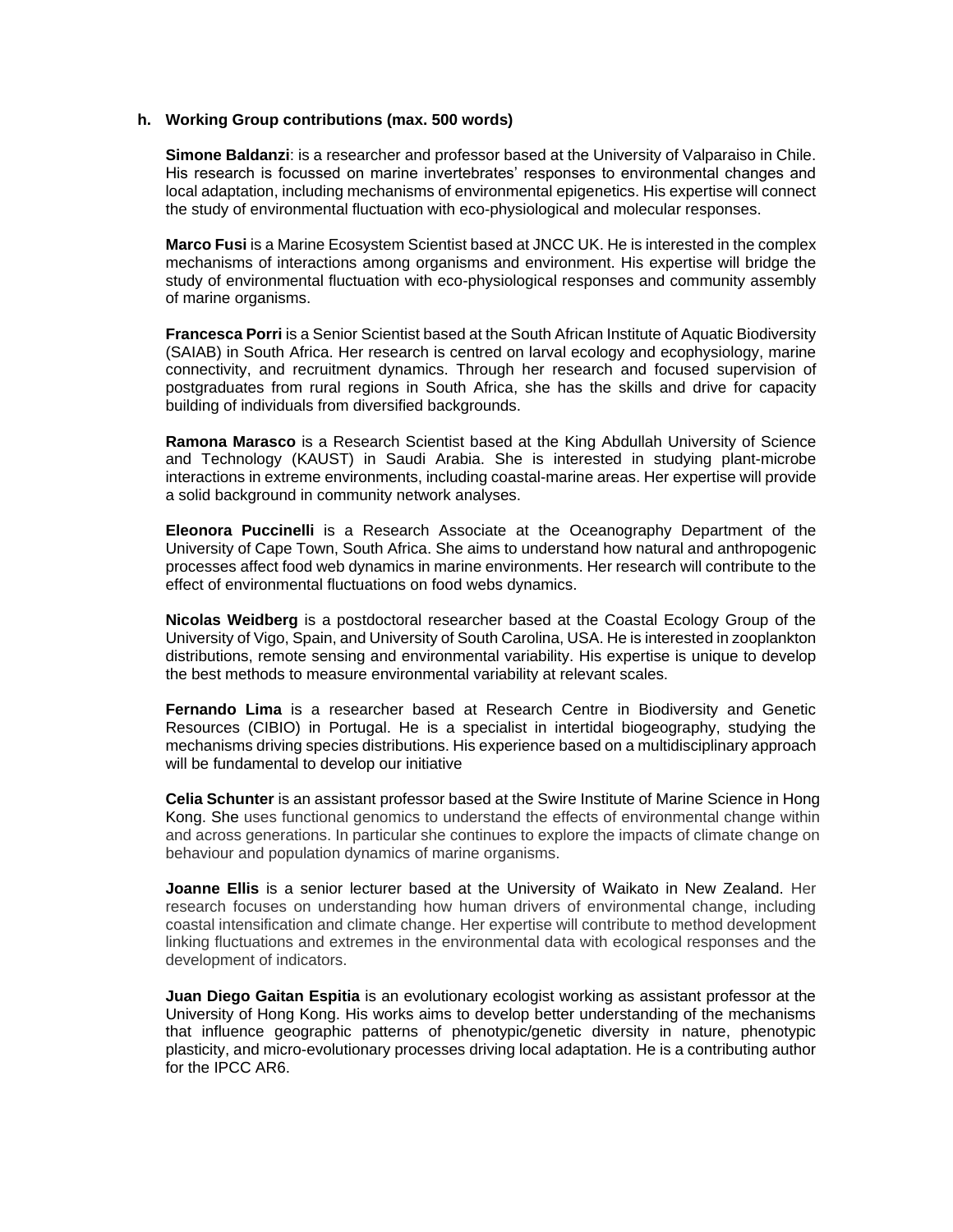#### **h. Working Group contributions (max. 500 words)**

**Simone Baldanzi**: is a researcher and professor based at the University of Valparaiso in Chile. His research is focussed on marine invertebrates' responses to environmental changes and local adaptation, including mechanisms of environmental epigenetics. His expertise will connect the study of environmental fluctuation with eco-physiological and molecular responses.

**Marco Fusi** is a Marine Ecosystem Scientist based at JNCC UK. He is interested in the complex mechanisms of interactions among organisms and environment. His expertise will bridge the study of environmental fluctuation with eco-physiological responses and community assembly of marine organisms.

**Francesca Porri** is a Senior Scientist based at the South African Institute of Aquatic Biodiversity (SAIAB) in South Africa. Her research is centred on larval ecology and ecophysiology, marine connectivity, and recruitment dynamics. Through her research and focused supervision of postgraduates from rural regions in South Africa, she has the skills and drive for capacity building of individuals from diversified backgrounds.

**Ramona Marasco** is a Research Scientist based at the King Abdullah University of Science and Technology (KAUST) in Saudi Arabia. She is interested in studying plant-microbe interactions in extreme environments, including coastal-marine areas. Her expertise will provide a solid background in community network analyses.

**Eleonora Puccinelli** is a Research Associate at the Oceanography Department of the University of Cape Town, South Africa. She aims to understand how natural and anthropogenic processes affect food web dynamics in marine environments. Her research will contribute to the effect of environmental fluctuations on food webs dynamics.

**Nicolas Weidberg** is a postdoctoral researcher based at the Coastal Ecology Group of the University of Vigo, Spain, and University of South Carolina, USA. He is interested in zooplankton distributions, remote sensing and environmental variability. His expertise is unique to develop the best methods to measure environmental variability at relevant scales.

**Fernando Lima** is a researcher based at Research Centre in Biodiversity and Genetic Resources (CIBIO) in Portugal. He is a specialist in intertidal biogeography, studying the mechanisms driving species distributions. His experience based on a multidisciplinary approach will be fundamental to develop our initiative

**Celia Schunter** is an assistant professor based at the Swire Institute of Marine Science in Hong Kong. She uses functional genomics to understand the effects of environmental change within and across generations. In particular she continues to explore the impacts of climate change on behaviour and population dynamics of marine organisms.

**Joanne Ellis** is a senior lecturer based at the University of Waikato in New Zealand. Her research focuses on understanding how human drivers of environmental change, including coastal intensification and climate change. Her expertise will contribute to method development linking fluctuations and extremes in the environmental data with ecological responses and the development of indicators.

**Juan Diego Gaitan Espitia** is an evolutionary ecologist working as assistant professor at the University of Hong Kong. His works aims to develop better understanding of the mechanisms that influence geographic patterns of phenotypic/genetic diversity in nature, phenotypic plasticity, and micro-evolutionary processes driving local adaptation. He is a contributing author for the IPCC AR6.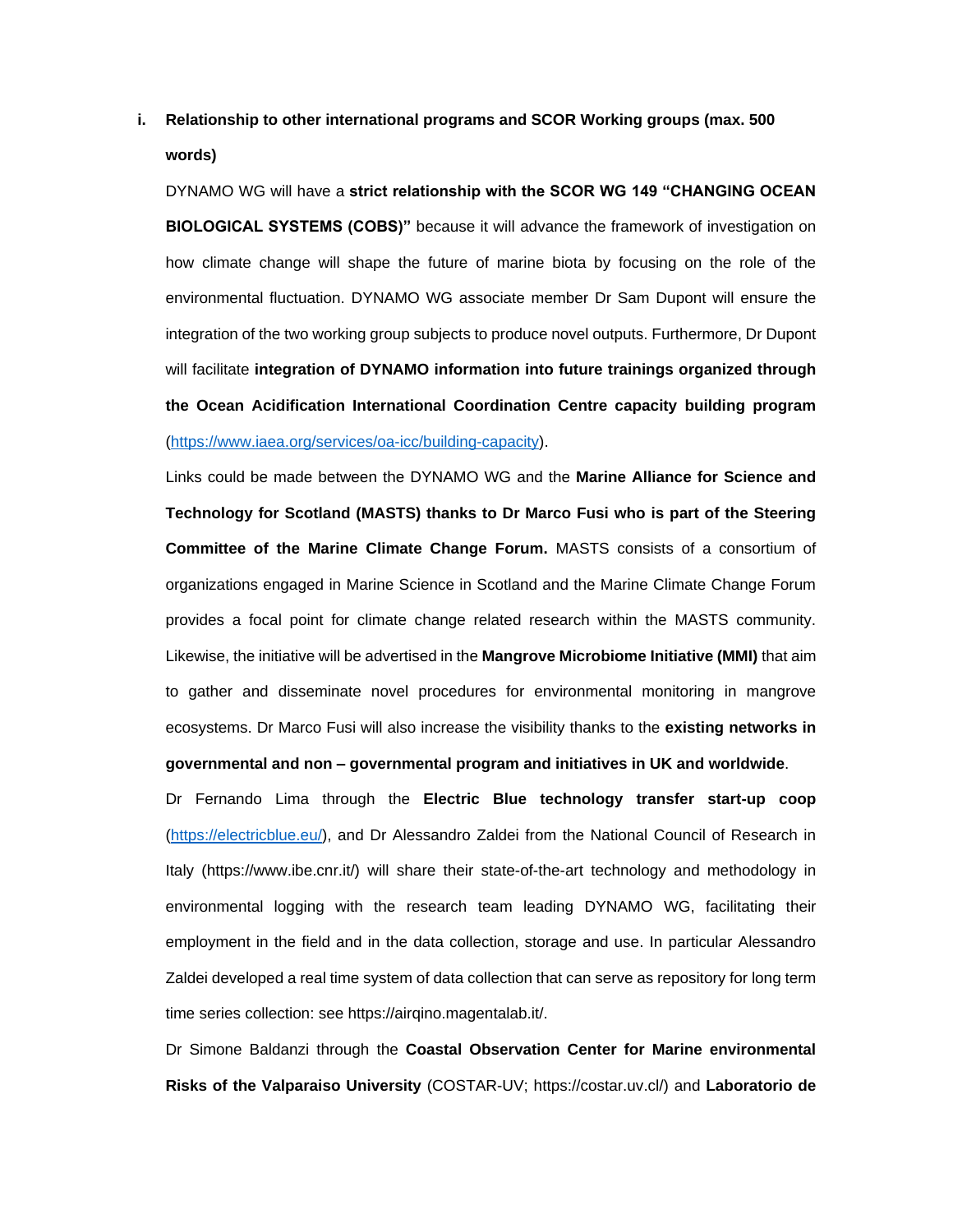## **i. Relationship to other international programs and SCOR Working groups (max. 500 words)**

DYNAMO WG will have a **strict relationship with the SCOR WG 149 "CHANGING OCEAN BIOLOGICAL SYSTEMS (COBS)"** because it will advance the framework of investigation on how climate change will shape the future of marine biota by focusing on the role of the environmental fluctuation. DYNAMO WG associate member Dr Sam Dupont will ensure the integration of the two working group subjects to produce novel outputs. Furthermore, Dr Dupont will facilitate **integration of DYNAMO information into future trainings organized through the Ocean Acidification International Coordination Centre capacity building program** [\(https://www.iaea.org/services/oa-icc/building-capacity\)](https://www.iaea.org/services/oa-icc/building-capacity).

Links could be made between the DYNAMO WG and the **Marine Alliance for Science and Technology for Scotland (MASTS) thanks to Dr Marco Fusi who is part of the Steering Committee of the Marine Climate Change Forum.** MASTS consists of a consortium of organizations engaged in Marine Science in Scotland and the Marine Climate Change Forum provides a focal point for climate change related research within the MASTS community. Likewise, the initiative will be advertised in the **Mangrove Microbiome Initiative (MMI)** that aim to gather and disseminate novel procedures for environmental monitoring in mangrove ecosystems. Dr Marco Fusi will also increase the visibility thanks to the **existing networks in governmental and non – governmental program and initiatives in UK and worldwide**.

Dr Fernando Lima through the **Electric Blue technology transfer start-up coop** [\(https://electricblue.eu/\)](https://electricblue.eu/), and Dr Alessandro Zaldei from the National Council of Research in Italy (https://www.ibe.cnr.it/) will share their state-of-the-art technology and methodology in environmental logging with the research team leading DYNAMO WG, facilitating their employment in the field and in the data collection, storage and use. In particular Alessandro Zaldei developed a real time system of data collection that can serve as repository for long term time series collection: see https://airqino.magentalab.it/.

Dr Simone Baldanzi through the **Coastal Observation Center for Marine environmental Risks of the Valparaiso University** (COSTAR-UV; https://costar.uv.cl/) and **Laboratorio de**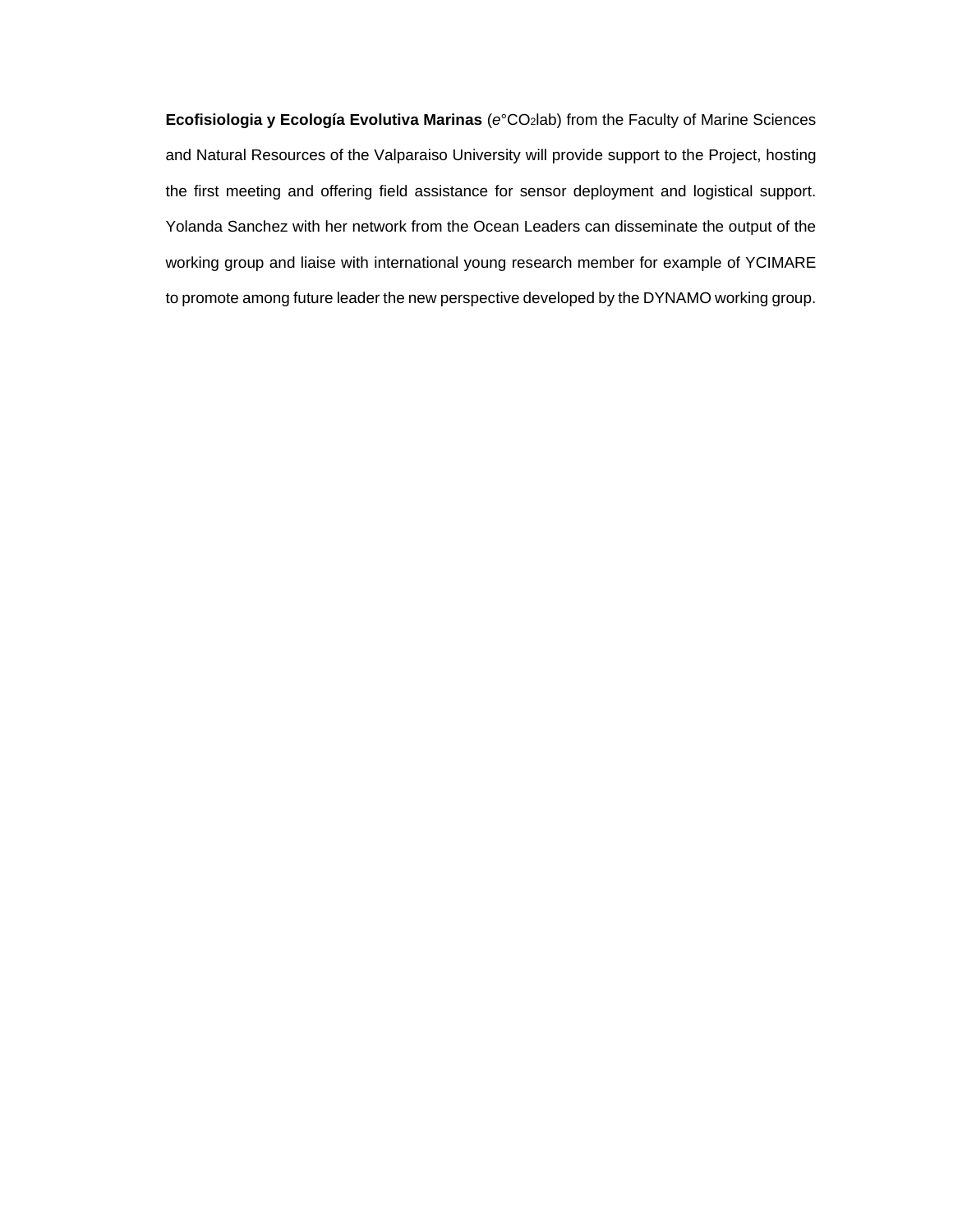**Ecofisiologia y Ecología Evolutiva Marinas** (e°CO<sub>2</sub>lab) from the Faculty of Marine Sciences and Natural Resources of the Valparaiso University will provide support to the Project, hosting the first meeting and offering field assistance for sensor deployment and logistical support. Yolanda Sanchez with her network from the Ocean Leaders can disseminate the output of the working group and liaise with international young research member for example of YCIMARE to promote among future leader the new perspective developed by the DYNAMO working group.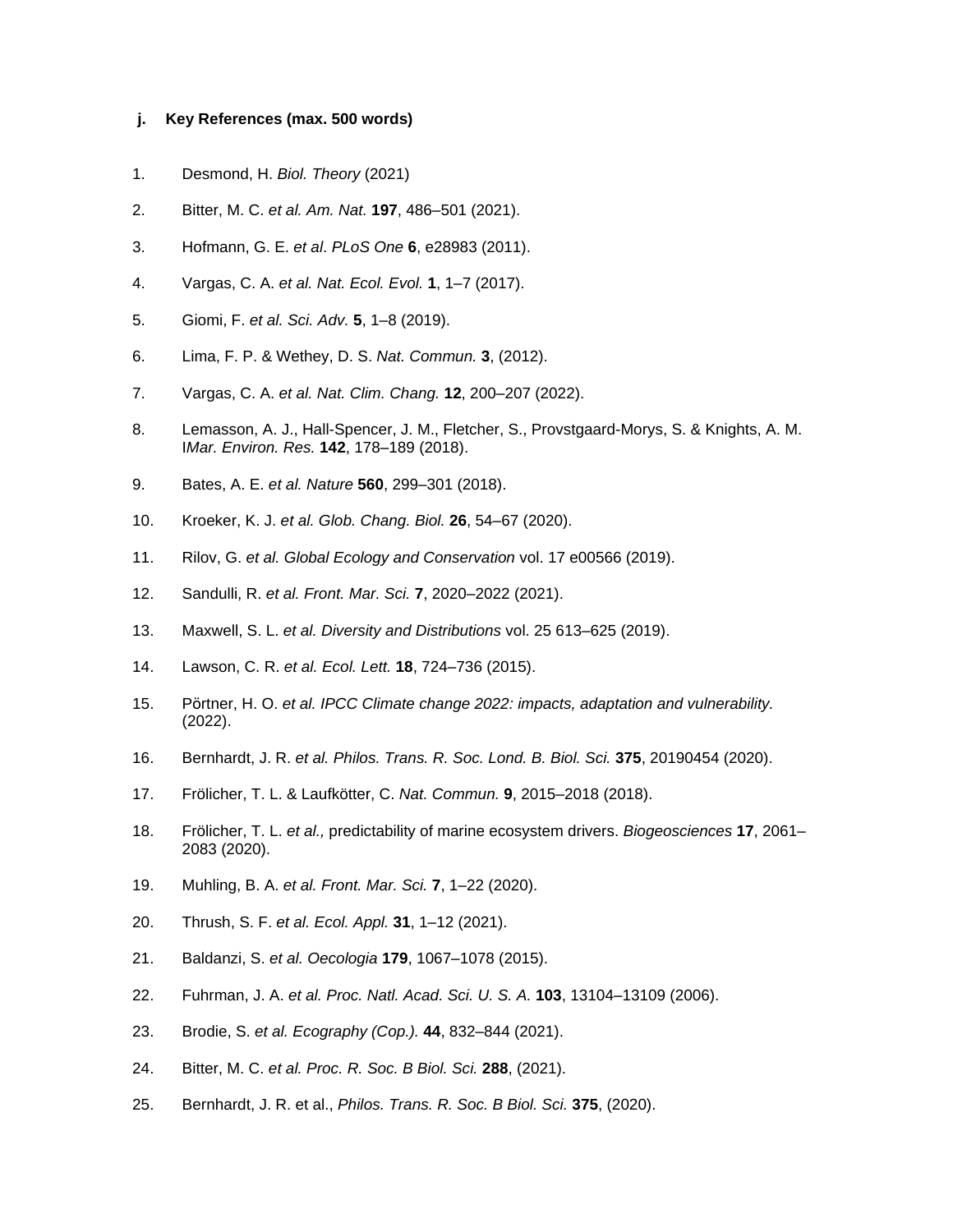#### **j. Key References (max. 500 words)**

- 1. Desmond, H. *Biol. Theory* (2021)
- 2. Bitter, M. C. *et al. Am. Nat.* **197**, 486–501 (2021).
- 3. Hofmann, G. E. *et al*. *PLoS One* **6**, e28983 (2011).
- 4. Vargas, C. A. *et al. Nat. Ecol. Evol.* **1**, 1–7 (2017).
- 5. Giomi, F. *et al. Sci. Adv.* **5**, 1–8 (2019).
- 6. Lima, F. P. & Wethey, D. S. *Nat. Commun.* **3**, (2012).
- 7. Vargas, C. A. *et al. Nat. Clim. Chang.* **12**, 200–207 (2022).
- 8. Lemasson, A. J., Hall-Spencer, J. M., Fletcher, S., Provstgaard-Morys, S. & Knights, A. M. I*Mar. Environ. Res.* **142**, 178–189 (2018).
- 9. Bates, A. E. *et al. Nature* **560**, 299–301 (2018).
- 10. Kroeker, K. J. *et al. Glob. Chang. Biol.* **26**, 54–67 (2020).
- 11. Rilov, G. *et al. Global Ecology and Conservation* vol. 17 e00566 (2019).
- 12. Sandulli, R. *et al. Front. Mar. Sci.* **7**, 2020–2022 (2021).
- 13. Maxwell, S. L. *et al. Diversity and Distributions* vol. 25 613–625 (2019).
- 14. Lawson, C. R. *et al. Ecol. Lett.* **18**, 724–736 (2015).
- 15. Pörtner, H. O. *et al. IPCC Climate change 2022: impacts, adaptation and vulnerability.* (2022).
- 16. Bernhardt, J. R. *et al. Philos. Trans. R. Soc. Lond. B. Biol. Sci.* **375**, 20190454 (2020).
- 17. Frölicher, T. L. & Laufkötter, C. *Nat. Commun.* **9**, 2015–2018 (2018).
- 18. Frölicher, T. L. *et al.,* predictability of marine ecosystem drivers. *Biogeosciences* **17**, 2061– 2083 (2020).
- 19. Muhling, B. A. *et al. Front. Mar. Sci.* **7**, 1–22 (2020).
- 20. Thrush, S. F. *et al. Ecol. Appl.* **31**, 1–12 (2021).
- 21. Baldanzi, S. *et al. Oecologia* **179**, 1067–1078 (2015).
- 22. Fuhrman, J. A. *et al. Proc. Natl. Acad. Sci. U. S. A.* **103**, 13104–13109 (2006).
- 23. Brodie, S. *et al. Ecography (Cop.).* **44**, 832–844 (2021).
- 24. Bitter, M. C. *et al. Proc. R. Soc. B Biol. Sci.* **288**, (2021).
- 25. Bernhardt, J. R. et al., *Philos. Trans. R. Soc. B Biol. Sci.* **375**, (2020).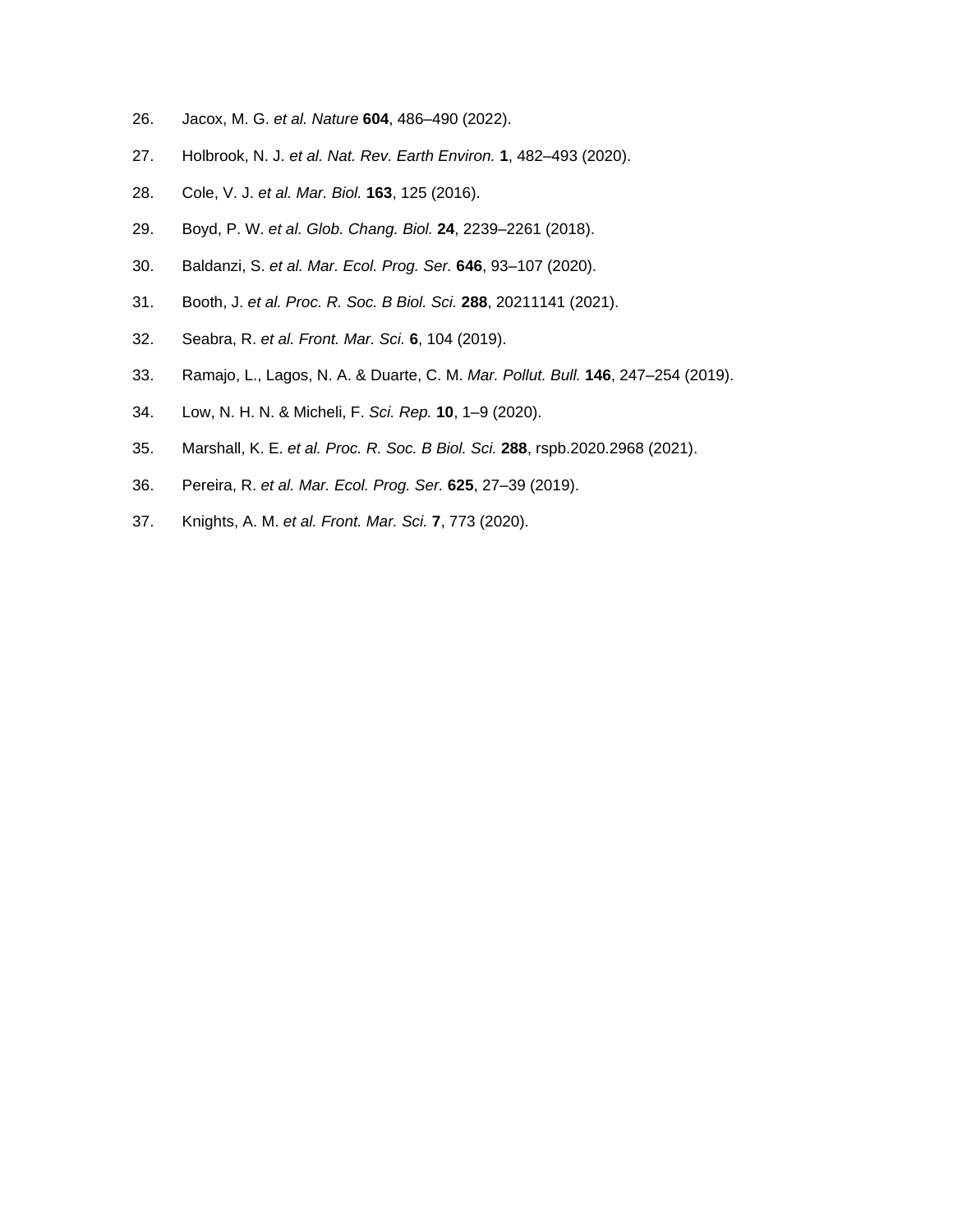- 26. Jacox, M. G. *et al. Nature* **604**, 486–490 (2022).
- 27. Holbrook, N. J. *et al. Nat. Rev. Earth Environ.* **1**, 482–493 (2020).
- 28. Cole, V. J. *et al. Mar. Biol.* **163**, 125 (2016).
- 29. Boyd, P. W. *et al. Glob. Chang. Biol.* **24**, 2239–2261 (2018).
- 30. Baldanzi, S. *et al. Mar. Ecol. Prog. Ser.* **646**, 93–107 (2020).
- 31. Booth, J. *et al. Proc. R. Soc. B Biol. Sci.* **288**, 20211141 (2021).
- 32. Seabra, R. *et al. Front. Mar. Sci.* **6**, 104 (2019).
- 33. Ramajo, L., Lagos, N. A. & Duarte, C. M. *Mar. Pollut. Bull.* **146**, 247–254 (2019).
- 34. Low, N. H. N. & Micheli, F. *Sci. Rep.* **10**, 1–9 (2020).
- 35. Marshall, K. E. *et al. Proc. R. Soc. B Biol. Sci.* **288**, rspb.2020.2968 (2021).
- 36. Pereira, R. *et al. Mar. Ecol. Prog. Ser.* **625**, 27–39 (2019).
- 37. Knights, A. M. *et al. Front. Mar. Sci.* **7**, 773 (2020).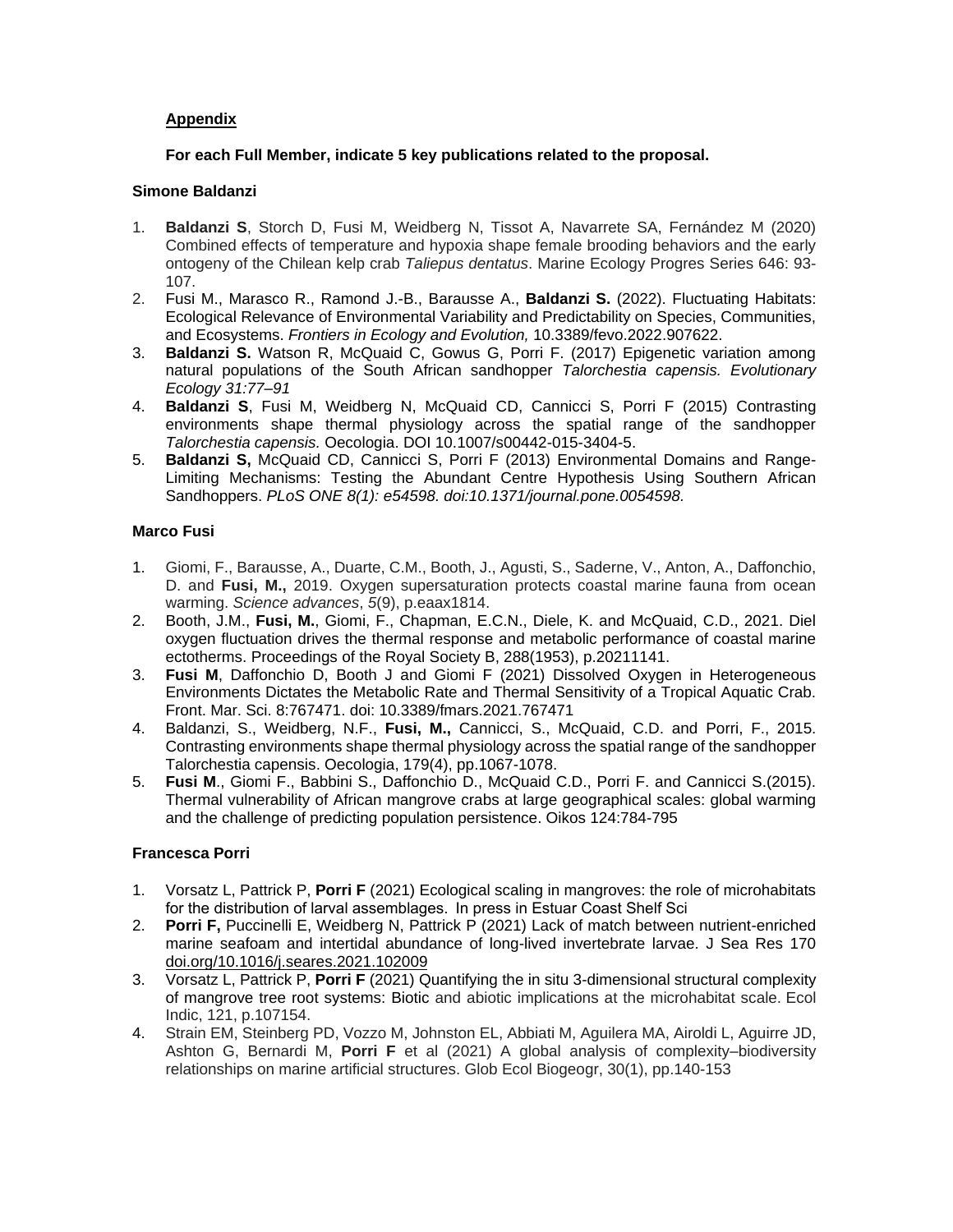## **Appendix**

## **For each Full Member, indicate 5 key publications related to the proposal.**

## **Simone Baldanzi**

- 1. **Baldanzi S**, Storch D, Fusi M, Weidberg N, Tissot A, Navarrete SA, Fernández M (2020) Combined effects of temperature and hypoxia shape female brooding behaviors and the early ontogeny of the Chilean kelp crab *Taliepus dentatus*. Marine Ecology Progres Series 646: 93- 107.
- 2. Fusi M., Marasco R., Ramond J.-B., Barausse A., **Baldanzi S.** (2022). Fluctuating Habitats: Ecological Relevance of Environmental Variability and Predictability on Species, Communities, and Ecosystems. *Frontiers in Ecology and Evolution,* 10.3389/fevo.2022.907622.
- 3. **Baldanzi S.** Watson R, McQuaid C, Gowus G, Porri F. (2017) Epigenetic variation among natural populations of the South African sandhopper *Talorchestia capensis. Evolutionary Ecology 31:77–91*
- 4. **Baldanzi S**, Fusi M, Weidberg N, McQuaid CD, Cannicci S, Porri F (2015) Contrasting environments shape thermal physiology across the spatial range of the sandhopper *Talorchestia capensis.* Oecologia. DOI 10.1007/s00442-015-3404-5.
- 5. **Baldanzi S,** McQuaid CD, Cannicci S, Porri F (2013) Environmental Domains and Range-Limiting Mechanisms: Testing the Abundant Centre Hypothesis Using Southern African Sandhoppers. *PLoS ONE 8(1): e54598. doi:10.1371/journal.pone.0054598.*

## **Marco Fusi**

- 1. Giomi, F., Barausse, A., Duarte, C.M., Booth, J., Agusti, S., Saderne, V., Anton, A., Daffonchio, D. and **Fusi, M.,** 2019. Oxygen supersaturation protects coastal marine fauna from ocean warming. *Science advances*, *5*(9), p.eaax1814.
- 2. Booth, J.M., **Fusi, M.**, Giomi, F., Chapman, E.C.N., Diele, K. and McQuaid, C.D., 2021. Diel oxygen fluctuation drives the thermal response and metabolic performance of coastal marine ectotherms. Proceedings of the Royal Society B, 288(1953), p.20211141.
- 3. **Fusi M**, Daffonchio D, Booth J and Giomi F (2021) Dissolved Oxygen in Heterogeneous Environments Dictates the Metabolic Rate and Thermal Sensitivity of a Tropical Aquatic Crab. Front. Mar. Sci. 8:767471. doi: 10.3389/fmars.2021.767471
- 4. Baldanzi, S., Weidberg, N.F., **Fusi, M.,** Cannicci, S., McQuaid, C.D. and Porri, F., 2015. Contrasting environments shape thermal physiology across the spatial range of the sandhopper Talorchestia capensis. Oecologia, 179(4), pp.1067-1078.
- 5. **Fusi M**., Giomi F., Babbini S., Daffonchio D., McQuaid C.D., Porri F. and Cannicci S.(2015). Thermal vulnerability of African mangrove crabs at large geographical scales: global warming and the challenge of predicting population persistence. Oikos 124:784-795

## **Francesca Porri**

- 1. Vorsatz L, Pattrick P, **Porri F** (2021) Ecological scaling in mangroves: the role of microhabitats for the distribution of larval assemblages.  In press in Estuar Coast Shelf Sci
- 2. **Porri F,** Puccinelli E, Weidberg N, Pattrick P (2021) Lack of match between nutrient-enriched marine seafoam and intertidal abundance of long-lived invertebrate larvae. J Sea Res 170 [doi.org/10.1016/j.seares.2021.102009](https://doi.org/10.1016/j.seares.2021.102009)
- 3. Vorsatz L, Pattrick P, **Porri F** (2021) Quantifying the in situ 3-dimensional structural complexity of mangrove tree root systems: Biotic and abiotic implications at the microhabitat scale. Ecol Indic, 121, p.107154.
- 4. Strain EM, Steinberg PD, Vozzo M, Johnston EL, Abbiati M, Aguilera MA, Airoldi L, Aguirre JD, Ashton G, Bernardi M, **Porri F** et al (2021) A global analysis of complexity–biodiversity relationships on marine artificial structures. Glob Ecol Biogeogr, 30(1), pp.140-153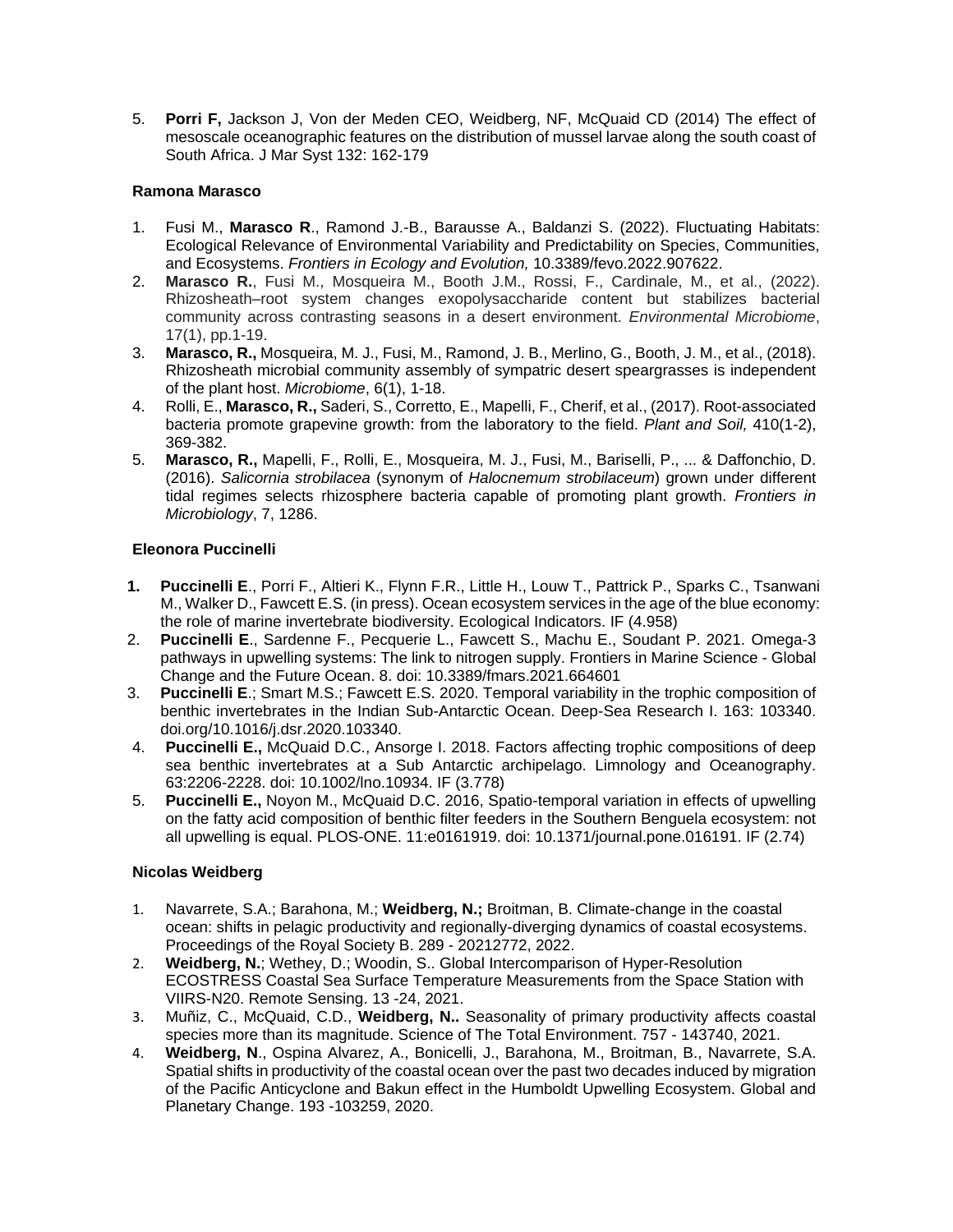5. **Porri F,** Jackson J, Von der Meden CEO, Weidberg, NF, McQuaid CD (2014) The effect of mesoscale oceanographic features on the distribution of mussel larvae along the south coast of South Africa. J Mar Syst 132: 162-179

## **Ramona Marasco**

- 1. Fusi M., **Marasco R**., Ramond J.-B., Barausse A., Baldanzi S. (2022). Fluctuating Habitats: Ecological Relevance of Environmental Variability and Predictability on Species, Communities, and Ecosystems. *Frontiers in Ecology and Evolution,* 10.3389/fevo.2022.907622.
- 2. **Marasco R.**, Fusi M., Mosqueira M., Booth J.M., Rossi, F., Cardinale, M., et al., (2022). Rhizosheath–root system changes exopolysaccharide content but stabilizes bacterial community across contrasting seasons in a desert environment. *Environmental Microbiome*, 17(1), pp.1-19.
- 3. **Marasco, R.,** Mosqueira, M. J., Fusi, M., Ramond, J. B., Merlino, G., Booth, J. M., et al., (2018). Rhizosheath microbial community assembly of sympatric desert speargrasses is independent of the plant host. *Microbiome*, 6(1), 1-18.
- 4. Rolli, E., **Marasco, R.,** Saderi, S., Corretto, E., Mapelli, F., Cherif, et al., (2017). Root-associated bacteria promote grapevine growth: from the laboratory to the field. *Plant and Soil,* 410(1-2), 369-382.
- 5. **Marasco, R.,** Mapelli, F., Rolli, E., Mosqueira, M. J., Fusi, M., Bariselli, P., ... & Daffonchio, D. (2016). *Salicornia strobilacea* (synonym of *Halocnemum strobilaceum*) grown under different tidal regimes selects rhizosphere bacteria capable of promoting plant growth. *Frontiers in Microbiology*, 7, 1286.

## **Eleonora Puccinelli**

- **1. Puccinelli E**., Porri F., Altieri K., Flynn F.R., Little H., Louw T., Pattrick P., Sparks C., Tsanwani M., Walker D., Fawcett E.S. (in press). Ocean ecosystem services in the age of the blue economy: the role of marine invertebrate biodiversity. Ecological Indicators. IF (4.958)
- 2. **Puccinelli E**., Sardenne F., Pecquerie L., Fawcett S., Machu E., Soudant P. 2021. Omega-3 pathways in upwelling systems: The link to nitrogen supply. Frontiers in Marine Science - Global Change and the Future Ocean. 8. doi: 10.3389/fmars.2021.664601
- 3. **Puccinelli E**.; Smart M.S.; Fawcett E.S. 2020. Temporal variability in the trophic composition of benthic invertebrates in the Indian Sub-Antarctic Ocean. Deep-Sea Research I. 163: 103340. doi.org/10.1016/j.dsr.2020.103340.
- 4. **Puccinelli E.,** McQuaid D.C., Ansorge I. 2018. Factors affecting trophic compositions of deep sea benthic invertebrates at a Sub Antarctic archipelago. Limnology and Oceanography. 63:2206-2228. doi: 10.1002/lno.10934. IF (3.778)
- 5. **Puccinelli E.,** Noyon M., McQuaid D.C. 2016, Spatio-temporal variation in effects of upwelling on the fatty acid composition of benthic filter feeders in the Southern Benguela ecosystem: not all upwelling is equal. PLOS-ONE. 11:e0161919. doi: 10.1371/journal.pone.016191. IF (2.74)

## **Nicolas Weidberg**

- 1. Navarrete, S.A.; Barahona, M.; **Weidberg, N.;** Broitman, B. Climate-change in the coastal ocean: shifts in pelagic productivity and regionally-diverging dynamics of coastal ecosystems. Proceedings of the Royal Society B. 289 - 20212772, 2022.
- 2. **Weidberg, N.**; Wethey, D.; Woodin, S.. Global Intercomparison of Hyper-Resolution ECOSTRESS Coastal Sea Surface Temperature Measurements from the Space Station with VIIRS-N20. Remote Sensing. 13 -24, 2021.
- 3. Muñiz, C., McQuaid, C.D., **Weidberg, N..** Seasonality of primary productivity affects coastal species more than its magnitude. Science of The Total Environment. 757 - 143740, 2021.
- 4. **Weidberg, N**., Ospina Alvarez, A., Bonicelli, J., Barahona, M., Broitman, B., Navarrete, S.A. Spatial shifts in productivity of the coastal ocean over the past two decades induced by migration of the Pacific Anticyclone and Bakun effect in the Humboldt Upwelling Ecosystem. Global and Planetary Change. 193 -103259, 2020.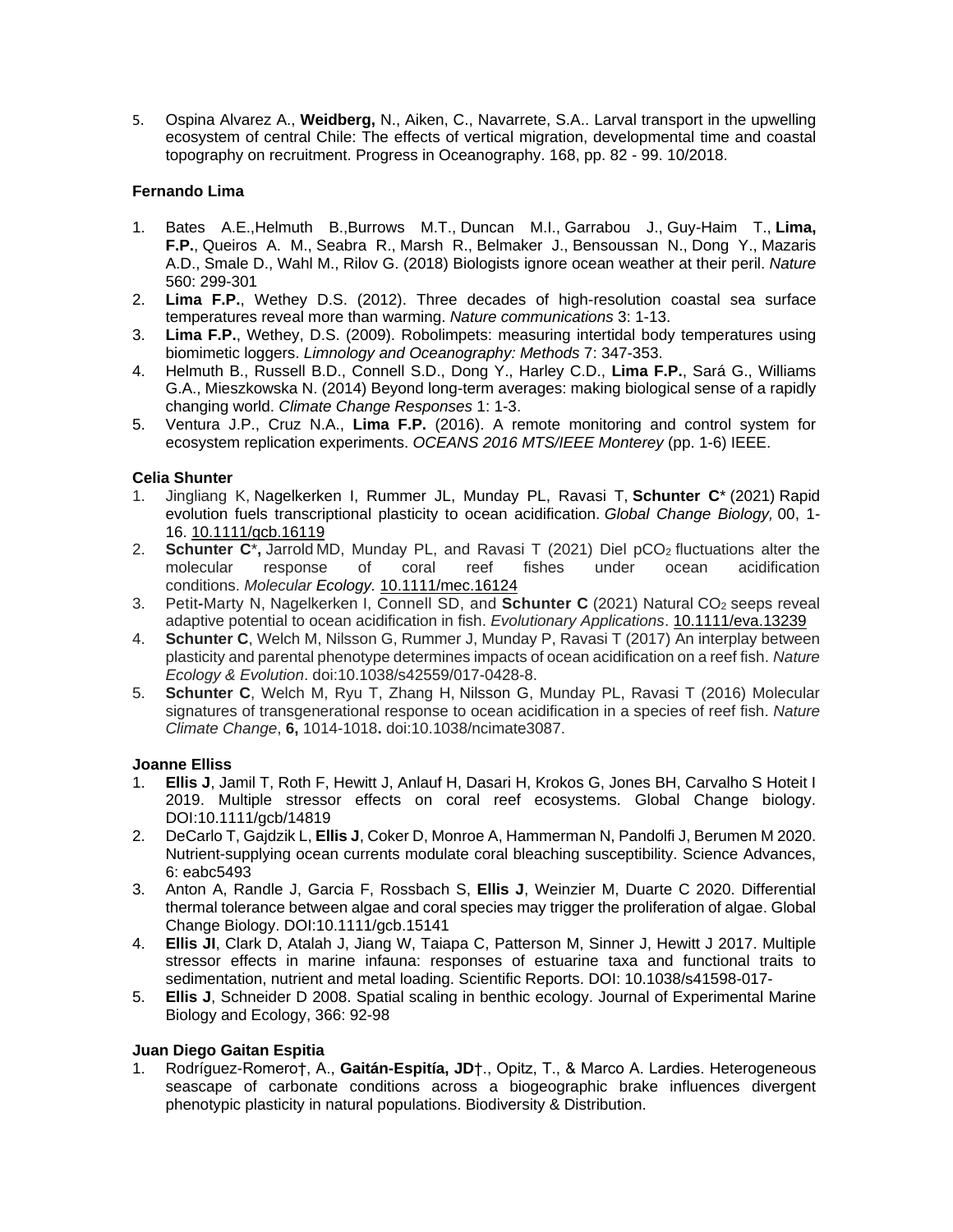5. Ospina Alvarez A., **Weidberg,** N., Aiken, C., Navarrete, S.A.. Larval transport in the upwelling ecosystem of central Chile: The effects of vertical migration, developmental time and coastal topography on recruitment. Progress in Oceanography. 168, pp. 82 - 99. 10/2018.

## **Fernando Lima**

- 1. Bates A.E.,Helmuth B.,Burrows M.T., Duncan M.I., Garrabou J., Guy-Haim T., **Lima, F.P.**, Queiros A. M., Seabra R., Marsh R., Belmaker J., Bensoussan N., Dong Y., Mazaris A.D., Smale D., Wahl M., Rilov G. (2018) Biologists ignore ocean weather at their peril. *Nature* 560: 299-301
- 2. **Lima F.P.**, Wethey D.S. (2012). Three decades of high-resolution coastal sea surface temperatures reveal more than warming. *Nature communications* 3: 1-13.
- 3. **Lima F.P.**, Wethey, D.S. (2009). Robolimpets: measuring intertidal body temperatures using biomimetic loggers. *Limnology and Oceanography: Methods* 7: 347-353.
- 4. Helmuth B., Russell B.D., Connell S.D., Dong Y., Harley C.D., **Lima F.P.**, Sará G., Williams G.A., Mieszkowska N. (2014) Beyond long-term averages: making biological sense of a rapidly changing world. *Climate Change Responses* 1: 1-3.
- 5. Ventura J.P., Cruz N.A., **Lima F.P.** (2016). A remote monitoring and control system for ecosystem replication experiments. *OCEANS 2016 MTS/IEEE Monterey* (pp. 1-6) IEEE.

## **Celia Shunter**

- 1. Jingliang K, Nagelkerken I, Rummer JL, Munday PL, Ravasi T, **Schunter C**\* (2021) Rapid evolution fuels transcriptional plasticity to ocean acidification. *Global Change Biology,* 00, 1- 16. [10.1111/gcb.16119](https://onlinelibrary.wiley.com/doi/full/10.1111/gcb.16119)
- 2. **Schunter C**<sup>\*</sup>, Jarrold MD, Munday PL, and Ravasi T (2021) Diel pCO<sub>2</sub> fluctuations alter the molecular response of coral reef fishes under ocean acidification response of coral reef fishes under ocean acidification conditions. *Molecular Ecology.* [10.1111/mec.16124](https://doi.org/10.1111/mec.16124)
- 3. Petit**-**Marty N, Nagelkerken I, Connell SD, and **Schunter C** (2021) Natural CO<sup>2</sup> seeps reveal adaptive potential to ocean acidification in fish. *Evolutionary Applications*. [10.1111/eva.13239](https://doi.org/10.1111/eva.13239)
- 4. **Schunter C**, Welch M, Nilsson G, Rummer J, Munday P, Ravasi T (2017) An interplay between plasticity and parental phenotype determines impacts of ocean acidification on a reef fish. *Nature Ecology & Evolution*. doi:10.1038/s42559/017-0428-8.
- 5. **Schunter C**, Welch M, Ryu T, Zhang H, Nilsson G, Munday PL, Ravasi T (2016) Molecular signatures of transgenerational response to ocean acidification in a species of reef fish. *Nature Climate Change*, **6,** 1014-1018**.** doi:10.1038/ncimate3087.

#### **Joanne Elliss**

- 1. **Ellis J**, Jamil T, Roth F, Hewitt J, Anlauf H, Dasari H, Krokos G, Jones BH, Carvalho S Hoteit I 2019. Multiple stressor effects on coral reef ecosystems. Global Change biology. DOI:10.1111/gcb/14819
- 2. DeCarlo T, Gajdzik L, **Ellis J**, Coker D, Monroe A, Hammerman N, Pandolfi J, Berumen M 2020. Nutrient-supplying ocean currents modulate coral bleaching susceptibility. Science Advances, 6: eabc5493
- 3. Anton A, Randle J, Garcia F, Rossbach S, **Ellis J**, Weinzier M, Duarte C 2020. Differential thermal tolerance between algae and coral species may trigger the proliferation of algae. Global Change Biology. DOI:10.1111/gcb.15141
- 4. **Ellis JI**, Clark D, Atalah J, Jiang W, Taiapa C, Patterson M, Sinner J, Hewitt J 2017. Multiple stressor effects in marine infauna: responses of estuarine taxa and functional traits to sedimentation, nutrient and metal loading. Scientific Reports. DOI: 10.1038/s41598-017-
- 5. **Ellis J**, Schneider D 2008. Spatial scaling in benthic ecology. Journal of Experimental Marine Biology and Ecology, 366: 92-98

#### **Juan Diego Gaitan Espitia**

1. Rodríguez-Romero†, A., **Gaitán-Espitía, JD**†., Opitz, T., & Marco A. Lardies. Heterogeneous seascape of carbonate conditions across a biogeographic brake influences divergent phenotypic plasticity in natural populations. Biodiversity & Distribution.